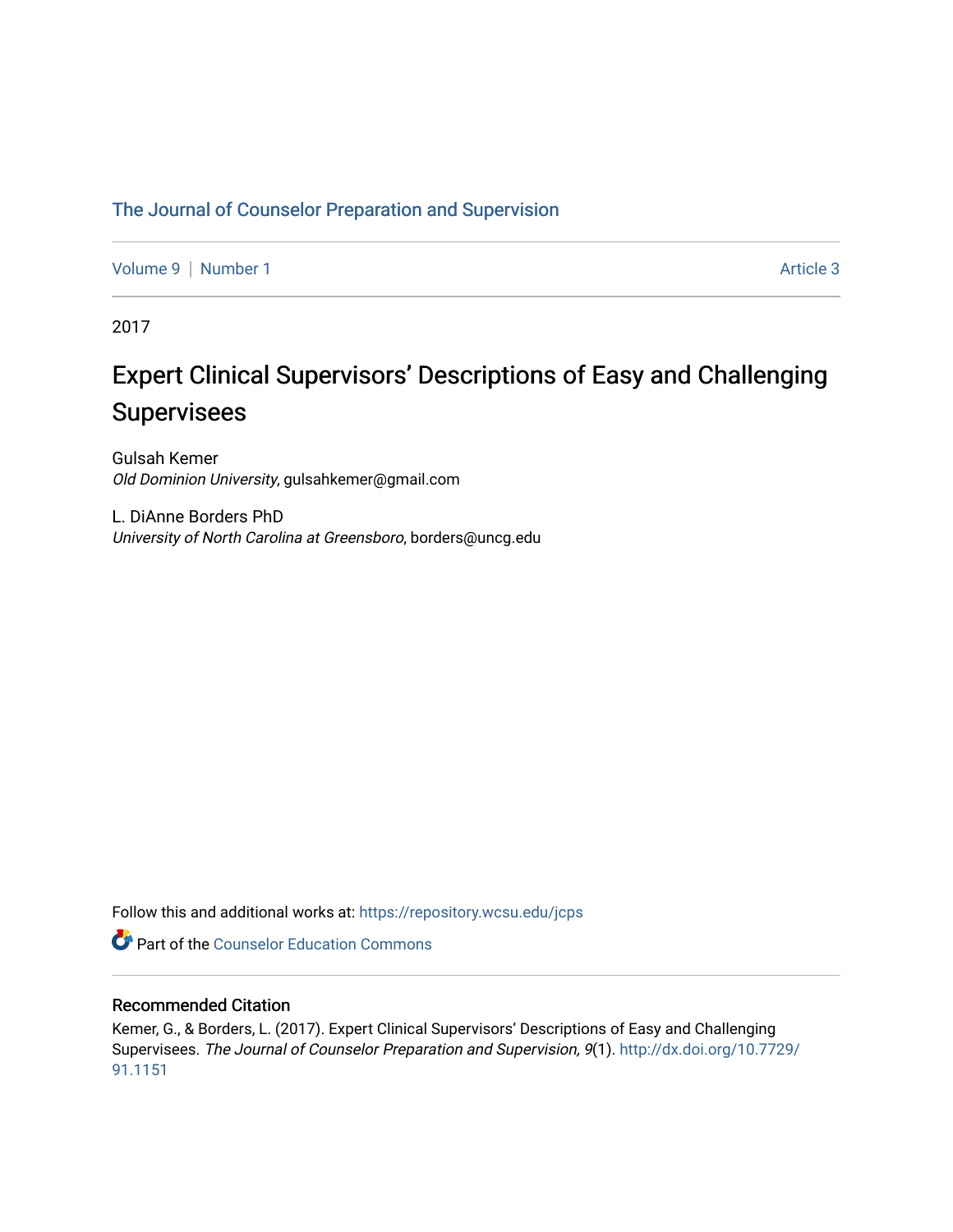# [The Journal of Counselor Preparation and Supervision](https://repository.wcsu.edu/jcps)

[Volume 9](https://repository.wcsu.edu/jcps/vol9) | [Number 1](https://repository.wcsu.edu/jcps/vol9/iss1) Article 3

2017

# Expert Clinical Supervisors' Descriptions of Easy and Challenging Supervisees

Gulsah Kemer Old Dominion University, gulsahkemer@gmail.com

L. DiAnne Borders PhD University of North Carolina at Greensboro, borders@uncg.edu

Follow this and additional works at: [https://repository.wcsu.edu/jcps](https://repository.wcsu.edu/jcps?utm_source=repository.wcsu.edu%2Fjcps%2Fvol9%2Fiss1%2F3&utm_medium=PDF&utm_campaign=PDFCoverPages) 

**Part of the Counselor Education Commons** 

# Recommended Citation

Kemer, G., & Borders, L. (2017). Expert Clinical Supervisors' Descriptions of Easy and Challenging Supervisees. The Journal of Counselor Preparation and Supervision, 9(1). [http://dx.doi.org/10.7729/](http://dx.doi.org/10.7729/91.1151) [91.1151](http://dx.doi.org/10.7729/91.1151)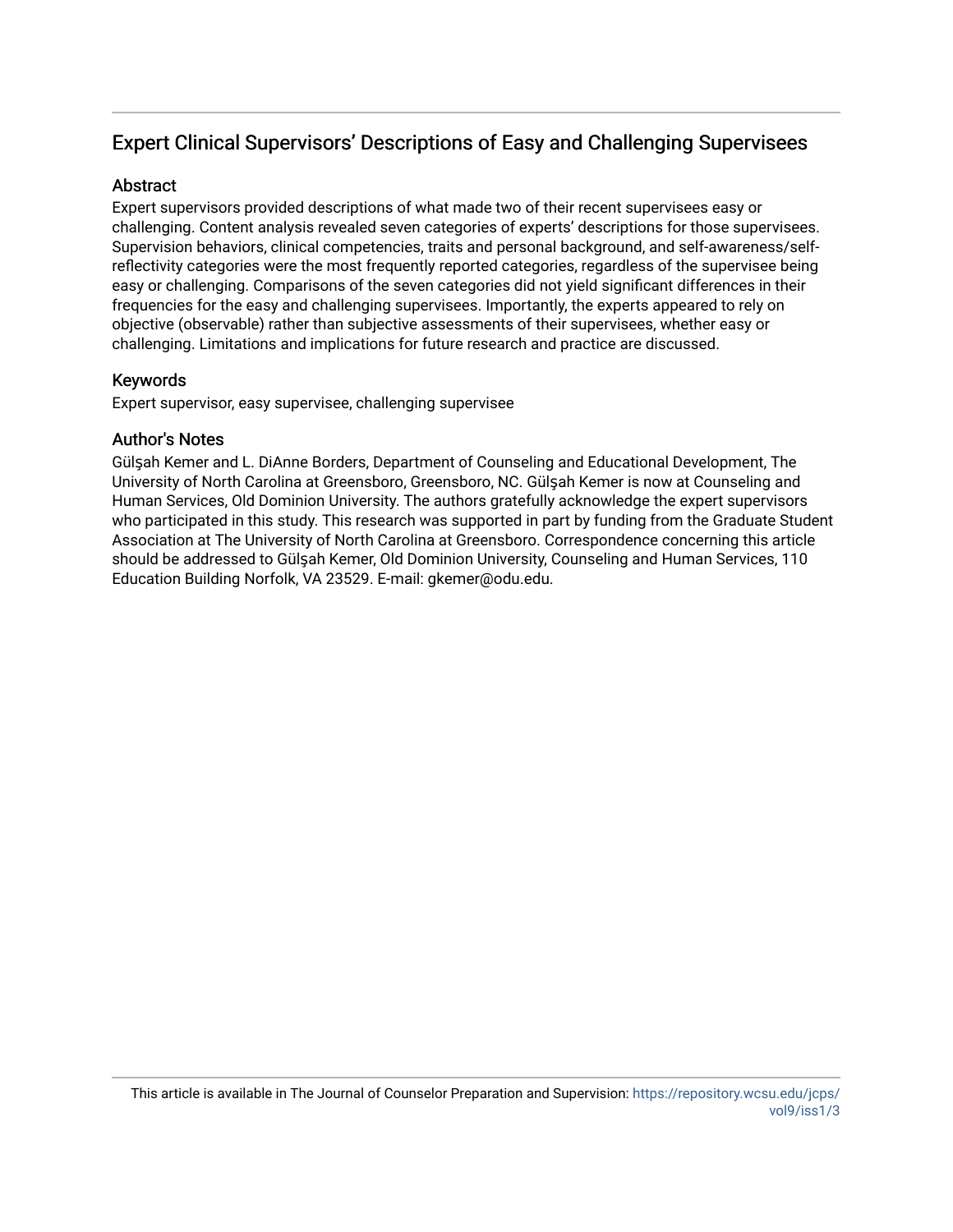# Expert Clinical Supervisors' Descriptions of Easy and Challenging Supervisees

# **Abstract**

Expert supervisors provided descriptions of what made two of their recent supervisees easy or challenging. Content analysis revealed seven categories of experts' descriptions for those supervisees. Supervision behaviors, clinical competencies, traits and personal background, and self-awareness/selfreflectivity categories were the most frequently reported categories, regardless of the supervisee being easy or challenging. Comparisons of the seven categories did not yield significant differences in their frequencies for the easy and challenging supervisees. Importantly, the experts appeared to rely on objective (observable) rather than subjective assessments of their supervisees, whether easy or challenging. Limitations and implications for future research and practice are discussed.

# Keywords

Expert supervisor, easy supervisee, challenging supervisee

# Author's Notes

Gülşah Kemer and L. DiAnne Borders, Department of Counseling and Educational Development, The University of North Carolina at Greensboro, Greensboro, NC. Gülşah Kemer is now at Counseling and Human Services, Old Dominion University. The authors gratefully acknowledge the expert supervisors who participated in this study. This research was supported in part by funding from the Graduate Student Association at The University of North Carolina at Greensboro. Correspondence concerning this article should be addressed to Gülşah Kemer, Old Dominion University, Counseling and Human Services, 110 Education Building Norfolk, VA 23529. E-mail: gkemer@odu.edu.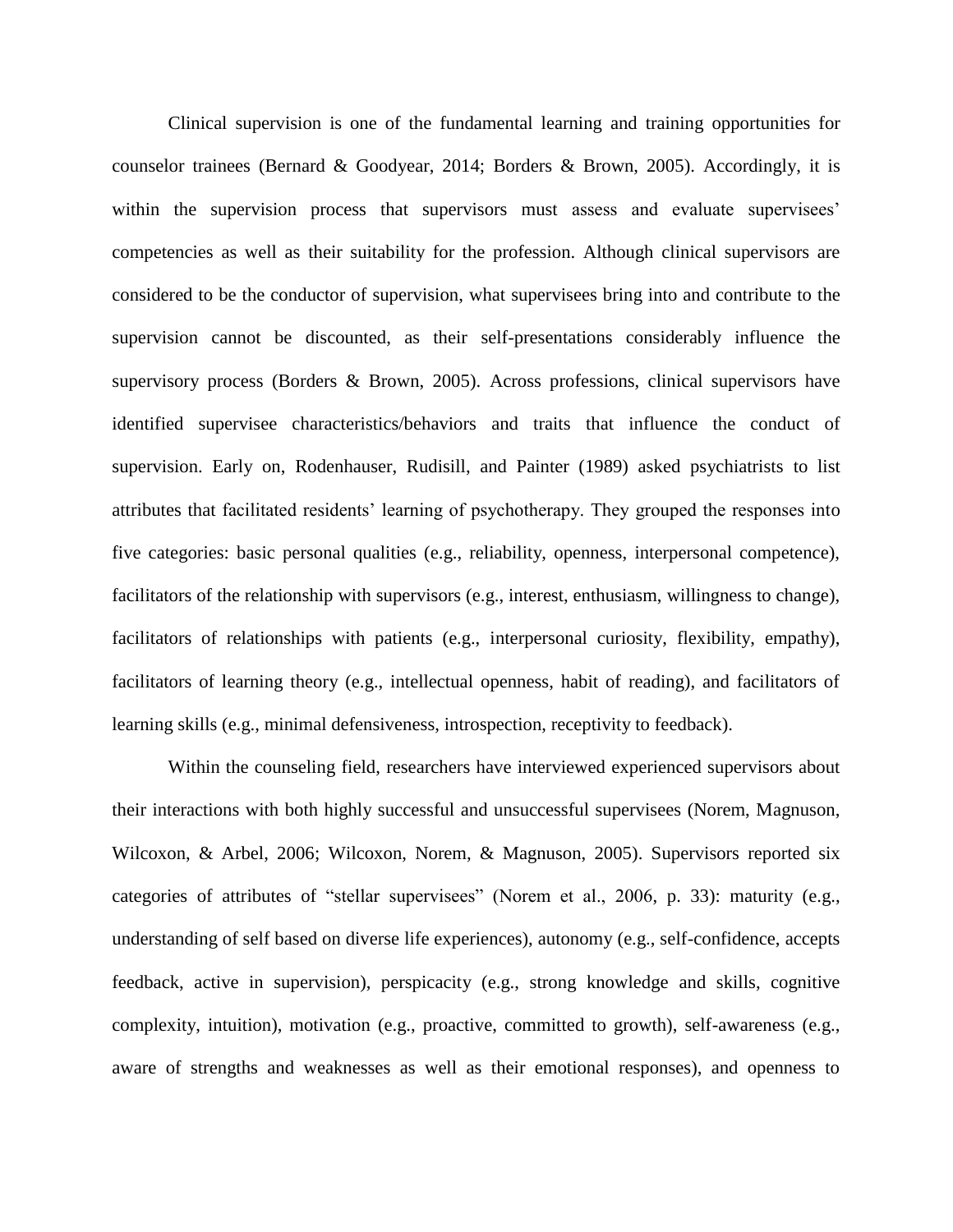Clinical supervision is one of the fundamental learning and training opportunities for counselor trainees (Bernard & Goodyear, 2014; Borders & Brown, 2005). Accordingly, it is within the supervision process that supervisors must assess and evaluate supervisees' competencies as well as their suitability for the profession. Although clinical supervisors are considered to be the conductor of supervision, what supervisees bring into and contribute to the supervision cannot be discounted, as their self-presentations considerably influence the supervisory process (Borders & Brown, 2005). Across professions, clinical supervisors have identified supervisee characteristics/behaviors and traits that influence the conduct of supervision. Early on, Rodenhauser, Rudisill, and Painter (1989) asked psychiatrists to list attributes that facilitated residents' learning of psychotherapy. They grouped the responses into five categories: basic personal qualities (e.g., reliability, openness, interpersonal competence), facilitators of the relationship with supervisors (e.g., interest, enthusiasm, willingness to change), facilitators of relationships with patients (e.g., interpersonal curiosity, flexibility, empathy), facilitators of learning theory (e.g., intellectual openness, habit of reading), and facilitators of learning skills (e.g., minimal defensiveness, introspection, receptivity to feedback).

Within the counseling field, researchers have interviewed experienced supervisors about their interactions with both highly successful and unsuccessful supervisees (Norem, Magnuson, Wilcoxon, & Arbel, 2006; Wilcoxon, Norem, & Magnuson, 2005). Supervisors reported six categories of attributes of "stellar supervisees" (Norem et al., 2006, p. 33): maturity (e.g., understanding of self based on diverse life experiences), autonomy (e.g., self-confidence, accepts feedback, active in supervision), perspicacity (e.g., strong knowledge and skills, cognitive complexity, intuition), motivation (e.g., proactive, committed to growth), self-awareness (e.g., aware of strengths and weaknesses as well as their emotional responses), and openness to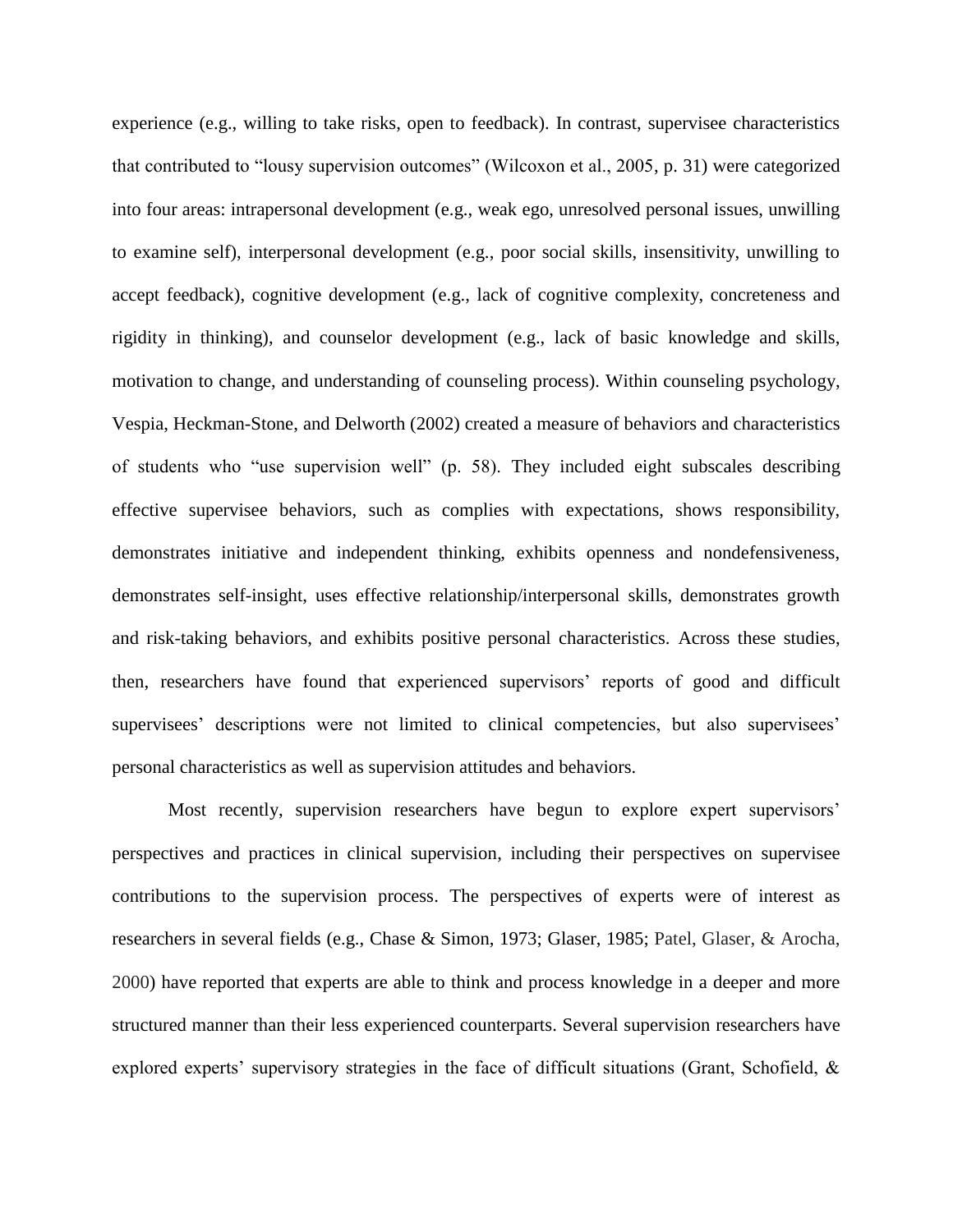experience (e.g., willing to take risks, open to feedback). In contrast, supervisee characteristics that contributed to "lousy supervision outcomes" (Wilcoxon et al., 2005, p. 31) were categorized into four areas: intrapersonal development (e.g., weak ego, unresolved personal issues, unwilling to examine self), interpersonal development (e.g., poor social skills, insensitivity, unwilling to accept feedback), cognitive development (e.g., lack of cognitive complexity, concreteness and rigidity in thinking), and counselor development (e.g., lack of basic knowledge and skills, motivation to change, and understanding of counseling process). Within counseling psychology, Vespia, Heckman-Stone, and Delworth (2002) created a measure of behaviors and characteristics of students who "use supervision well" (p. 58). They included eight subscales describing effective supervisee behaviors, such as complies with expectations, shows responsibility, demonstrates initiative and independent thinking, exhibits openness and nondefensiveness, demonstrates self-insight, uses effective relationship/interpersonal skills, demonstrates growth and risk-taking behaviors, and exhibits positive personal characteristics. Across these studies, then, researchers have found that experienced supervisors' reports of good and difficult supervisees' descriptions were not limited to clinical competencies, but also supervisees' personal characteristics as well as supervision attitudes and behaviors.

Most recently, supervision researchers have begun to explore expert supervisors' perspectives and practices in clinical supervision, including their perspectives on supervisee contributions to the supervision process. The perspectives of experts were of interest as researchers in several fields (e.g., Chase & Simon, 1973; Glaser, 1985; Patel, Glaser, & Arocha, 2000) have reported that experts are able to think and process knowledge in a deeper and more structured manner than their less experienced counterparts. Several supervision researchers have explored experts' supervisory strategies in the face of difficult situations (Grant, Schofield, &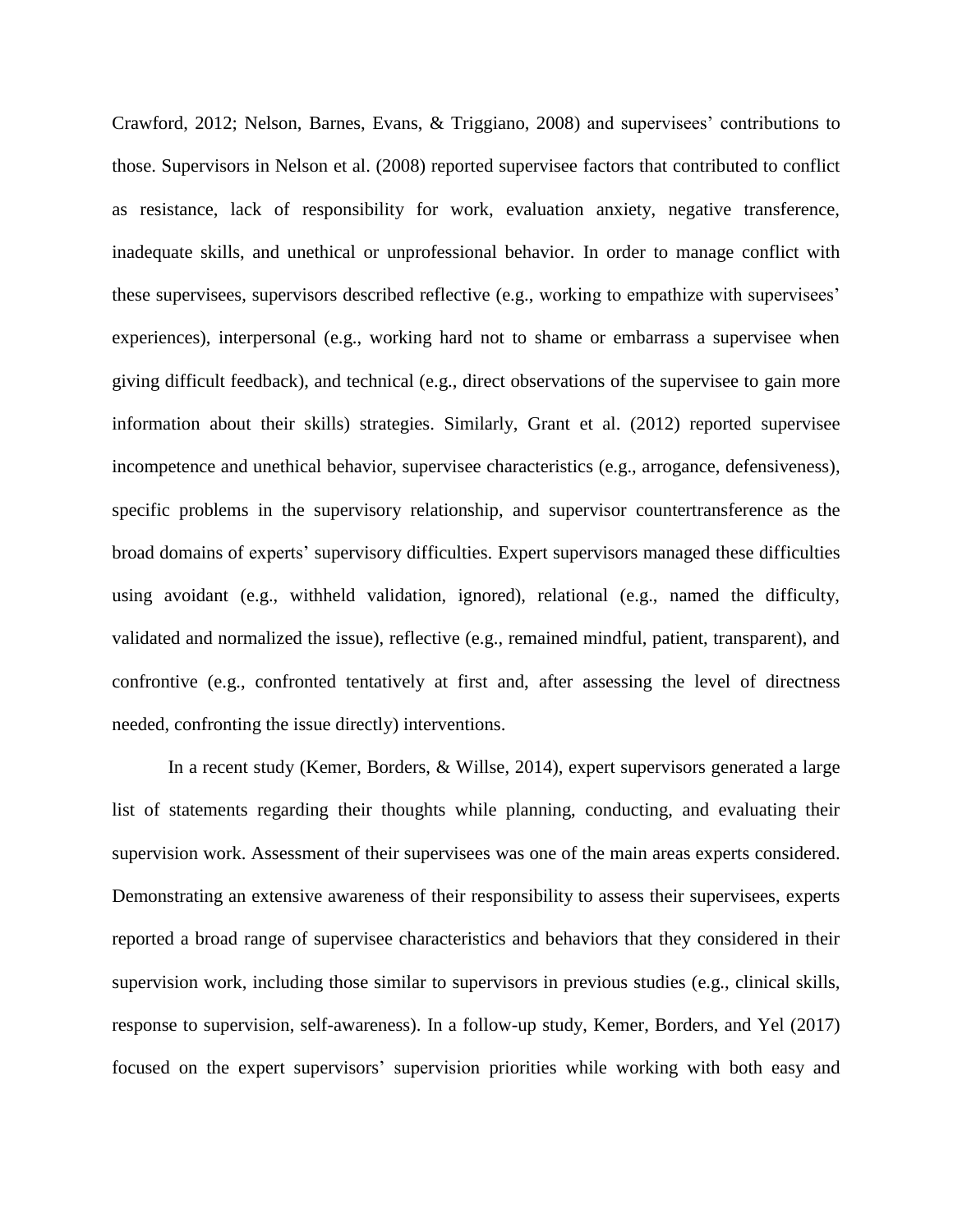Crawford, 2012; Nelson, Barnes, Evans, & Triggiano, 2008) and supervisees' contributions to those. Supervisors in Nelson et al. (2008) reported supervisee factors that contributed to conflict as resistance, lack of responsibility for work, evaluation anxiety, negative transference, inadequate skills, and unethical or unprofessional behavior. In order to manage conflict with these supervisees, supervisors described reflective (e.g., working to empathize with supervisees' experiences), interpersonal (e.g., working hard not to shame or embarrass a supervisee when giving difficult feedback), and technical (e.g., direct observations of the supervisee to gain more information about their skills) strategies. Similarly, Grant et al. (2012) reported supervisee incompetence and unethical behavior, supervisee characteristics (e.g., arrogance, defensiveness), specific problems in the supervisory relationship, and supervisor countertransference as the broad domains of experts' supervisory difficulties. Expert supervisors managed these difficulties using avoidant (e.g., withheld validation, ignored), relational (e.g., named the difficulty, validated and normalized the issue), reflective (e.g., remained mindful, patient, transparent), and confrontive (e.g., confronted tentatively at first and, after assessing the level of directness needed, confronting the issue directly) interventions.

In a recent study (Kemer, Borders, & Willse, 2014), expert supervisors generated a large list of statements regarding their thoughts while planning, conducting, and evaluating their supervision work. Assessment of their supervisees was one of the main areas experts considered. Demonstrating an extensive awareness of their responsibility to assess their supervisees, experts reported a broad range of supervisee characteristics and behaviors that they considered in their supervision work, including those similar to supervisors in previous studies (e.g., clinical skills, response to supervision, self-awareness). In a follow-up study, Kemer, Borders, and Yel (2017) focused on the expert supervisors' supervision priorities while working with both easy and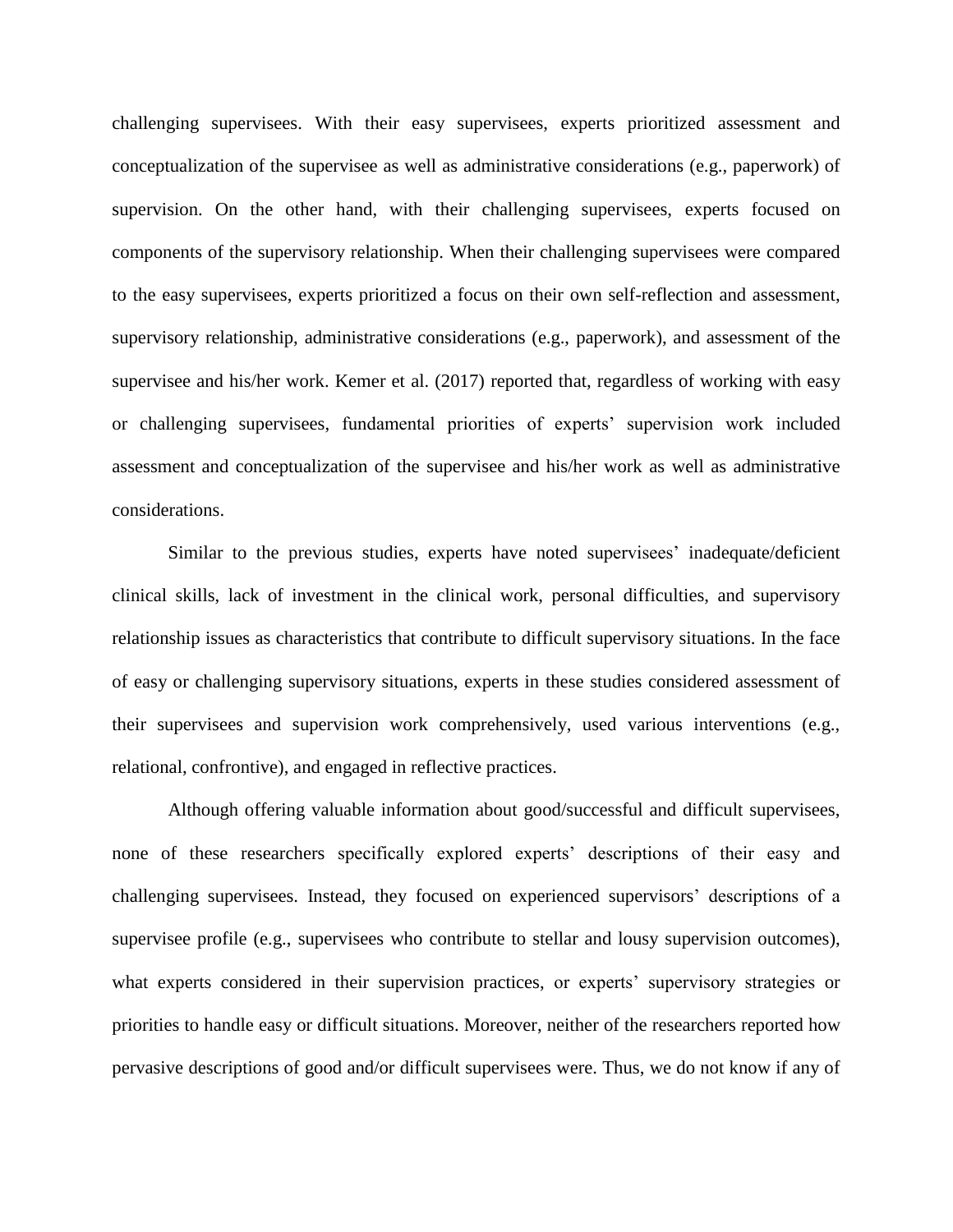challenging supervisees. With their easy supervisees, experts prioritized assessment and conceptualization of the supervisee as well as administrative considerations (e.g., paperwork) of supervision. On the other hand, with their challenging supervisees, experts focused on components of the supervisory relationship. When their challenging supervisees were compared to the easy supervisees, experts prioritized a focus on their own self-reflection and assessment, supervisory relationship, administrative considerations (e.g., paperwork), and assessment of the supervisee and his/her work. Kemer et al. (2017) reported that, regardless of working with easy or challenging supervisees, fundamental priorities of experts' supervision work included assessment and conceptualization of the supervisee and his/her work as well as administrative considerations.

Similar to the previous studies, experts have noted supervisees' inadequate/deficient clinical skills, lack of investment in the clinical work, personal difficulties, and supervisory relationship issues as characteristics that contribute to difficult supervisory situations. In the face of easy or challenging supervisory situations, experts in these studies considered assessment of their supervisees and supervision work comprehensively, used various interventions (e.g., relational, confrontive), and engaged in reflective practices.

Although offering valuable information about good/successful and difficult supervisees, none of these researchers specifically explored experts' descriptions of their easy and challenging supervisees. Instead, they focused on experienced supervisors' descriptions of a supervisee profile (e.g., supervisees who contribute to stellar and lousy supervision outcomes), what experts considered in their supervision practices, or experts' supervisory strategies or priorities to handle easy or difficult situations. Moreover, neither of the researchers reported how pervasive descriptions of good and/or difficult supervisees were. Thus, we do not know if any of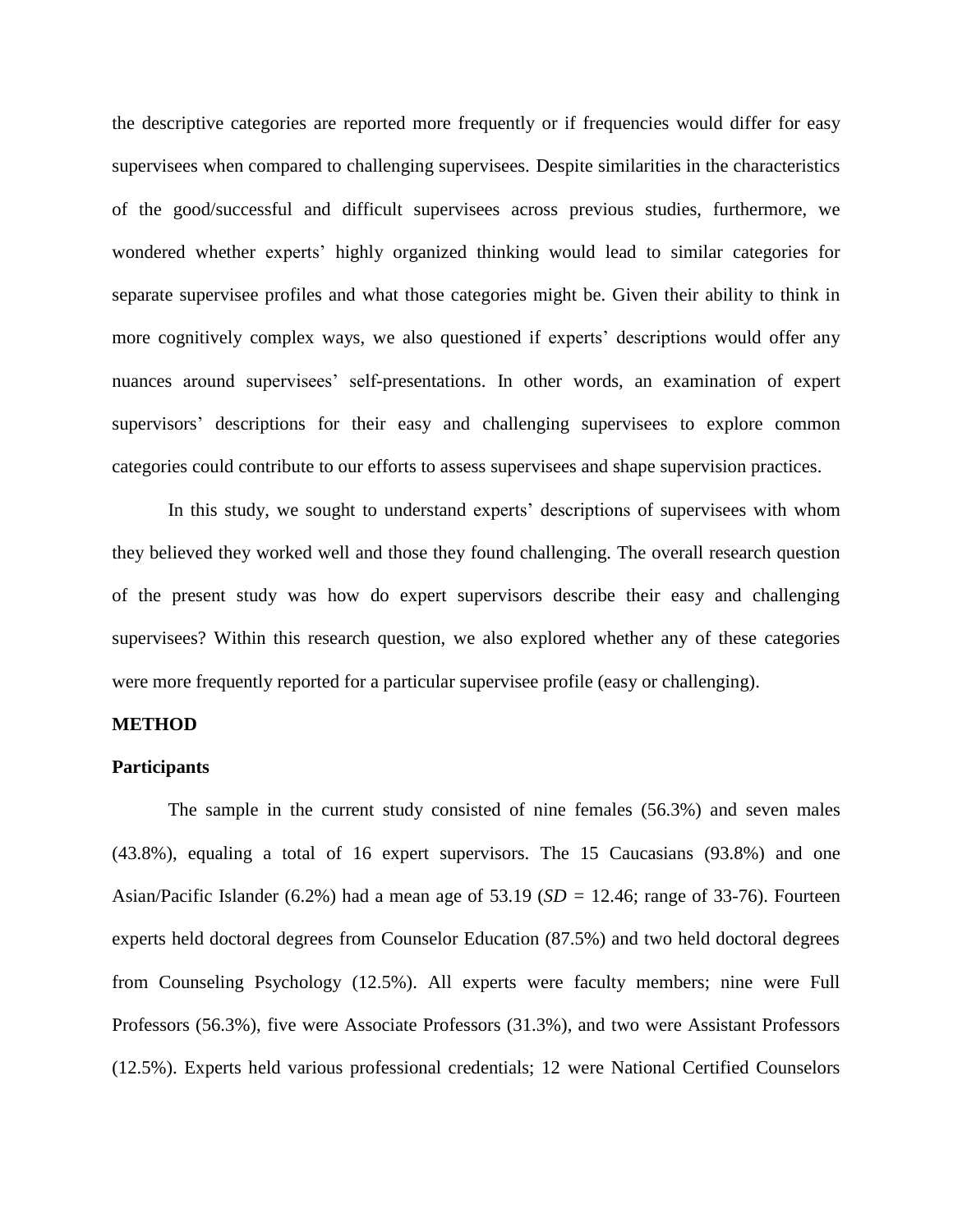the descriptive categories are reported more frequently or if frequencies would differ for easy supervisees when compared to challenging supervisees. Despite similarities in the characteristics of the good/successful and difficult supervisees across previous studies, furthermore, we wondered whether experts' highly organized thinking would lead to similar categories for separate supervisee profiles and what those categories might be. Given their ability to think in more cognitively complex ways, we also questioned if experts' descriptions would offer any nuances around supervisees' self-presentations. In other words, an examination of expert supervisors' descriptions for their easy and challenging supervisees to explore common categories could contribute to our efforts to assess supervisees and shape supervision practices.

In this study, we sought to understand experts' descriptions of supervisees with whom they believed they worked well and those they found challenging. The overall research question of the present study was how do expert supervisors describe their easy and challenging supervisees? Within this research question, we also explored whether any of these categories were more frequently reported for a particular supervisee profile (easy or challenging).

#### **METHOD**

#### **Participants**

The sample in the current study consisted of nine females (56.3%) and seven males (43.8%), equaling a total of 16 expert supervisors. The 15 Caucasians (93.8%) and one Asian/Pacific Islander (6.2%) had a mean age of  $53.19$  ( $SD = 12.46$ ; range of 33-76). Fourteen experts held doctoral degrees from Counselor Education (87.5%) and two held doctoral degrees from Counseling Psychology (12.5%). All experts were faculty members; nine were Full Professors (56.3%), five were Associate Professors (31.3%), and two were Assistant Professors (12.5%). Experts held various professional credentials; 12 were National Certified Counselors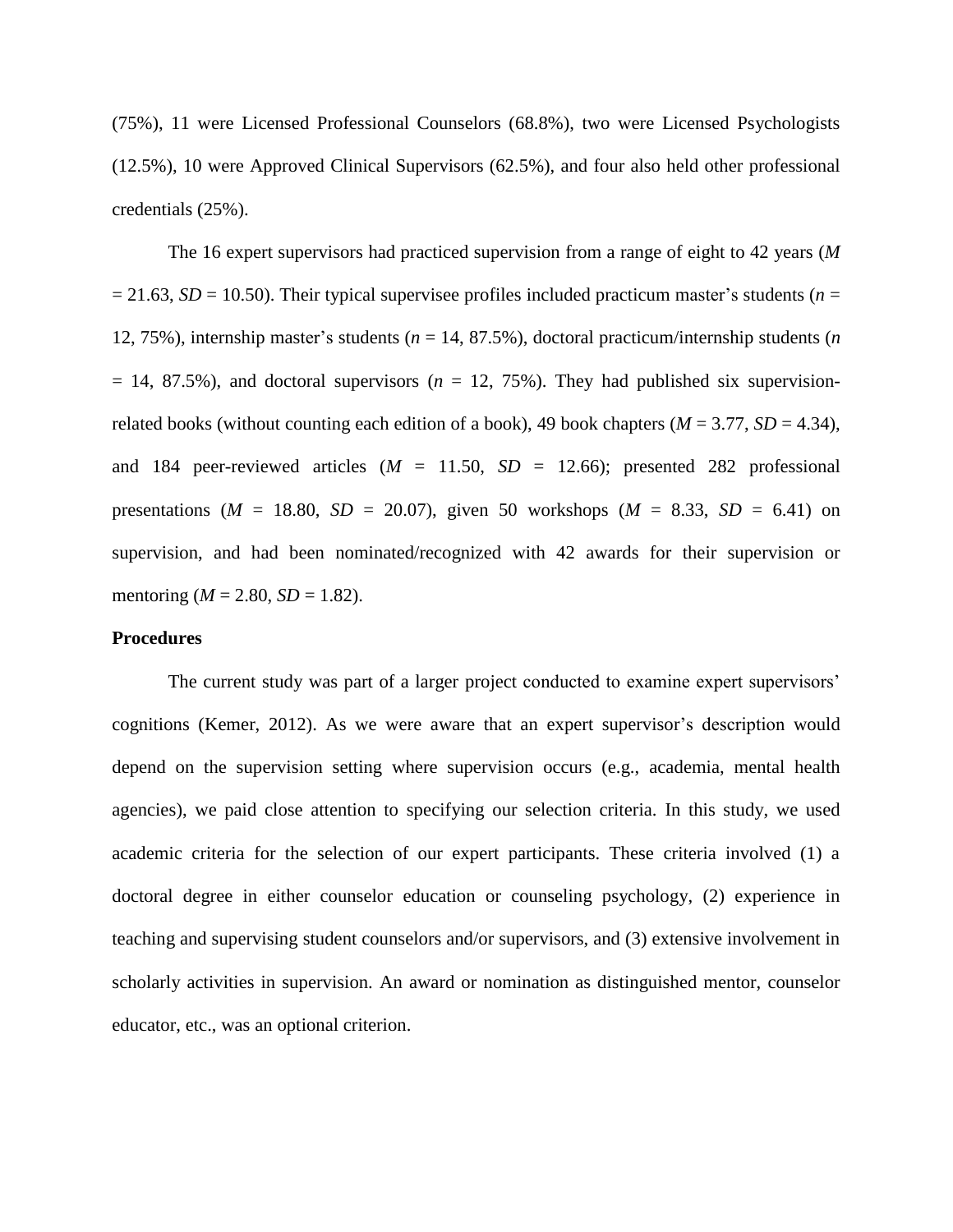(75%), 11 were Licensed Professional Counselors (68.8%), two were Licensed Psychologists (12.5%), 10 were Approved Clinical Supervisors (62.5%), and four also held other professional credentials (25%).

The 16 expert supervisors had practiced supervision from a range of eight to 42 years (*M*  $= 21.63$ , *SD* = 10.50). Their typical supervisee profiles included practicum master's students (*n* = 12, 75%), internship master's students (*n* = 14, 87.5%), doctoral practicum/internship students (*n*  $= 14, 87.5\%$ ), and doctoral supervisors ( $n = 12, 75\%$ ). They had published six supervisionrelated books (without counting each edition of a book), 49 book chapters ( $M = 3.77$ ,  $SD = 4.34$ ), and 184 peer-reviewed articles  $(M = 11.50, SD = 12.66)$ ; presented 282 professional presentations ( $M = 18.80$ ,  $SD = 20.07$ ), given 50 workshops ( $M = 8.33$ ,  $SD = 6.41$ ) on supervision, and had been nominated/recognized with 42 awards for their supervision or mentoring ( $M = 2.80$ ,  $SD = 1.82$ ).

#### **Procedures**

The current study was part of a larger project conducted to examine expert supervisors' cognitions (Kemer, 2012). As we were aware that an expert supervisor's description would depend on the supervision setting where supervision occurs (e.g., academia, mental health agencies), we paid close attention to specifying our selection criteria. In this study, we used academic criteria for the selection of our expert participants. These criteria involved (1) a doctoral degree in either counselor education or counseling psychology, (2) experience in teaching and supervising student counselors and/or supervisors, and (3) extensive involvement in scholarly activities in supervision. An award or nomination as distinguished mentor, counselor educator, etc., was an optional criterion.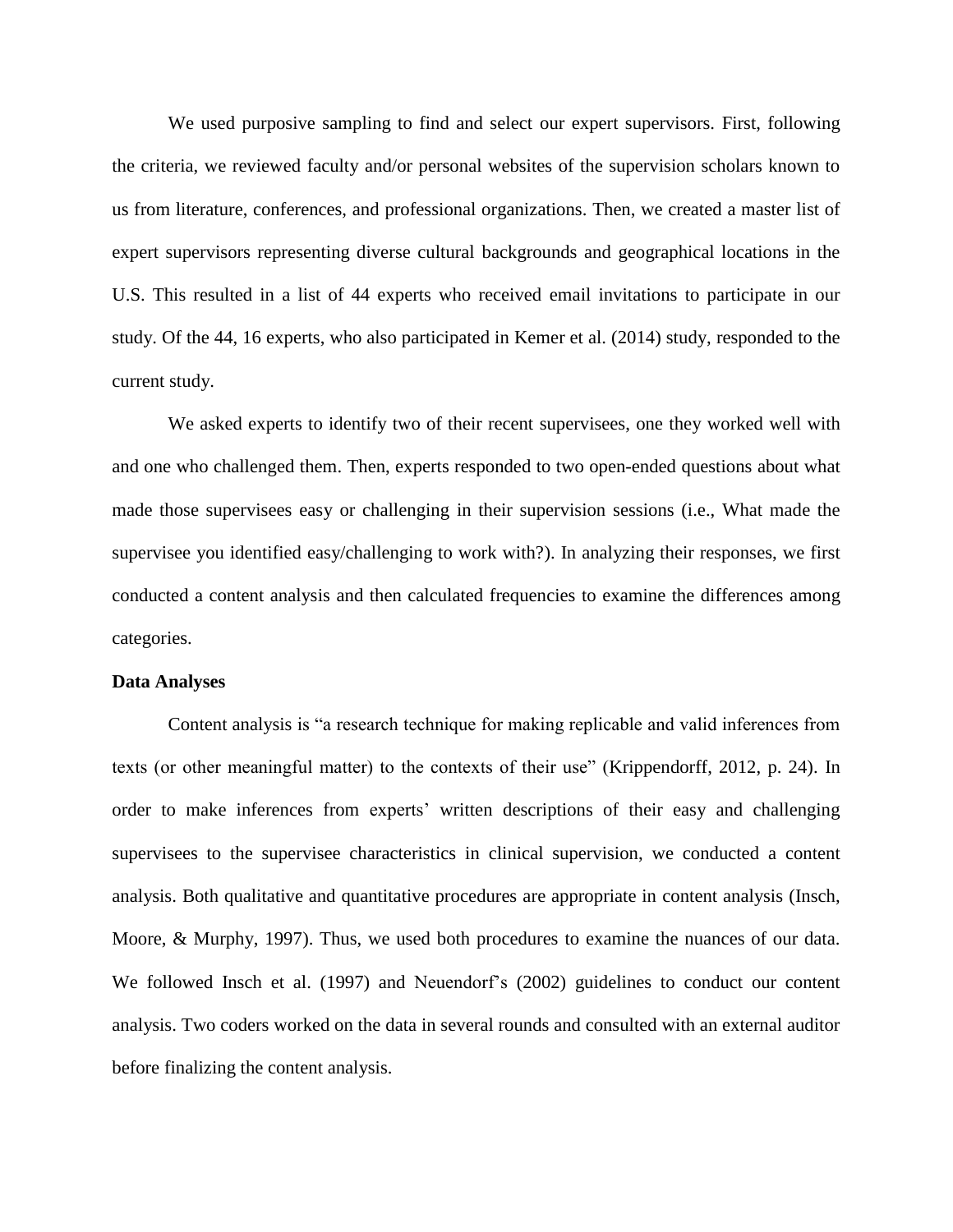We used purposive sampling to find and select our expert supervisors. First, following the criteria, we reviewed faculty and/or personal websites of the supervision scholars known to us from literature, conferences, and professional organizations. Then, we created a master list of expert supervisors representing diverse cultural backgrounds and geographical locations in the U.S. This resulted in a list of 44 experts who received email invitations to participate in our study. Of the 44, 16 experts, who also participated in Kemer et al. (2014) study, responded to the current study.

We asked experts to identify two of their recent supervisees, one they worked well with and one who challenged them. Then, experts responded to two open-ended questions about what made those supervisees easy or challenging in their supervision sessions (i.e., What made the supervisee you identified easy/challenging to work with?). In analyzing their responses, we first conducted a content analysis and then calculated frequencies to examine the differences among categories.

#### **Data Analyses**

Content analysis is "a research technique for making replicable and valid inferences from texts (or other meaningful matter) to the contexts of their use" (Krippendorff, 2012, p. 24). In order to make inferences from experts' written descriptions of their easy and challenging supervisees to the supervisee characteristics in clinical supervision, we conducted a content analysis. Both qualitative and quantitative procedures are appropriate in content analysis (Insch, Moore, & Murphy, 1997). Thus, we used both procedures to examine the nuances of our data. We followed Insch et al. (1997) and Neuendorf's (2002) guidelines to conduct our content analysis. Two coders worked on the data in several rounds and consulted with an external auditor before finalizing the content analysis.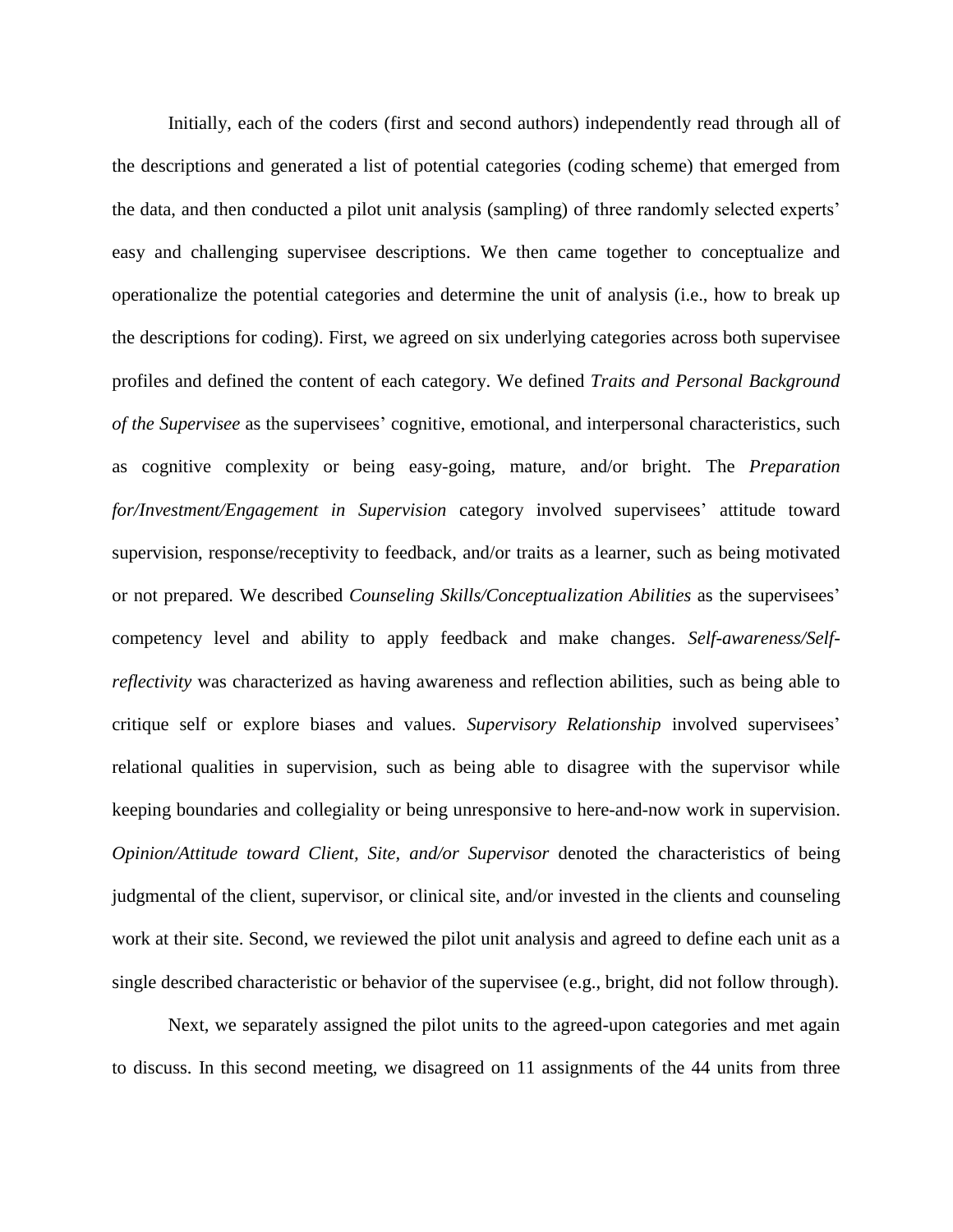Initially, each of the coders (first and second authors) independently read through all of the descriptions and generated a list of potential categories (coding scheme) that emerged from the data, and then conducted a pilot unit analysis (sampling) of three randomly selected experts' easy and challenging supervisee descriptions. We then came together to conceptualize and operationalize the potential categories and determine the unit of analysis (i.e., how to break up the descriptions for coding). First, we agreed on six underlying categories across both supervisee profiles and defined the content of each category. We defined *Traits and Personal Background of the Supervisee* as the supervisees' cognitive, emotional, and interpersonal characteristics, such as cognitive complexity or being easy-going, mature, and/or bright. The *Preparation for/Investment/Engagement in Supervision* category involved supervisees' attitude toward supervision, response/receptivity to feedback, and/or traits as a learner, such as being motivated or not prepared. We described *Counseling Skills/Conceptualization Abilities* as the supervisees' competency level and ability to apply feedback and make changes. *Self-awareness/Selfreflectivity* was characterized as having awareness and reflection abilities, such as being able to critique self or explore biases and values. *Supervisory Relationship* involved supervisees' relational qualities in supervision, such as being able to disagree with the supervisor while keeping boundaries and collegiality or being unresponsive to here-and-now work in supervision. *Opinion/Attitude toward Client, Site, and/or Supervisor* denoted the characteristics of being judgmental of the client, supervisor, or clinical site, and/or invested in the clients and counseling work at their site. Second, we reviewed the pilot unit analysis and agreed to define each unit as a single described characteristic or behavior of the supervisee (e.g., bright, did not follow through).

Next, we separately assigned the pilot units to the agreed-upon categories and met again to discuss. In this second meeting, we disagreed on 11 assignments of the 44 units from three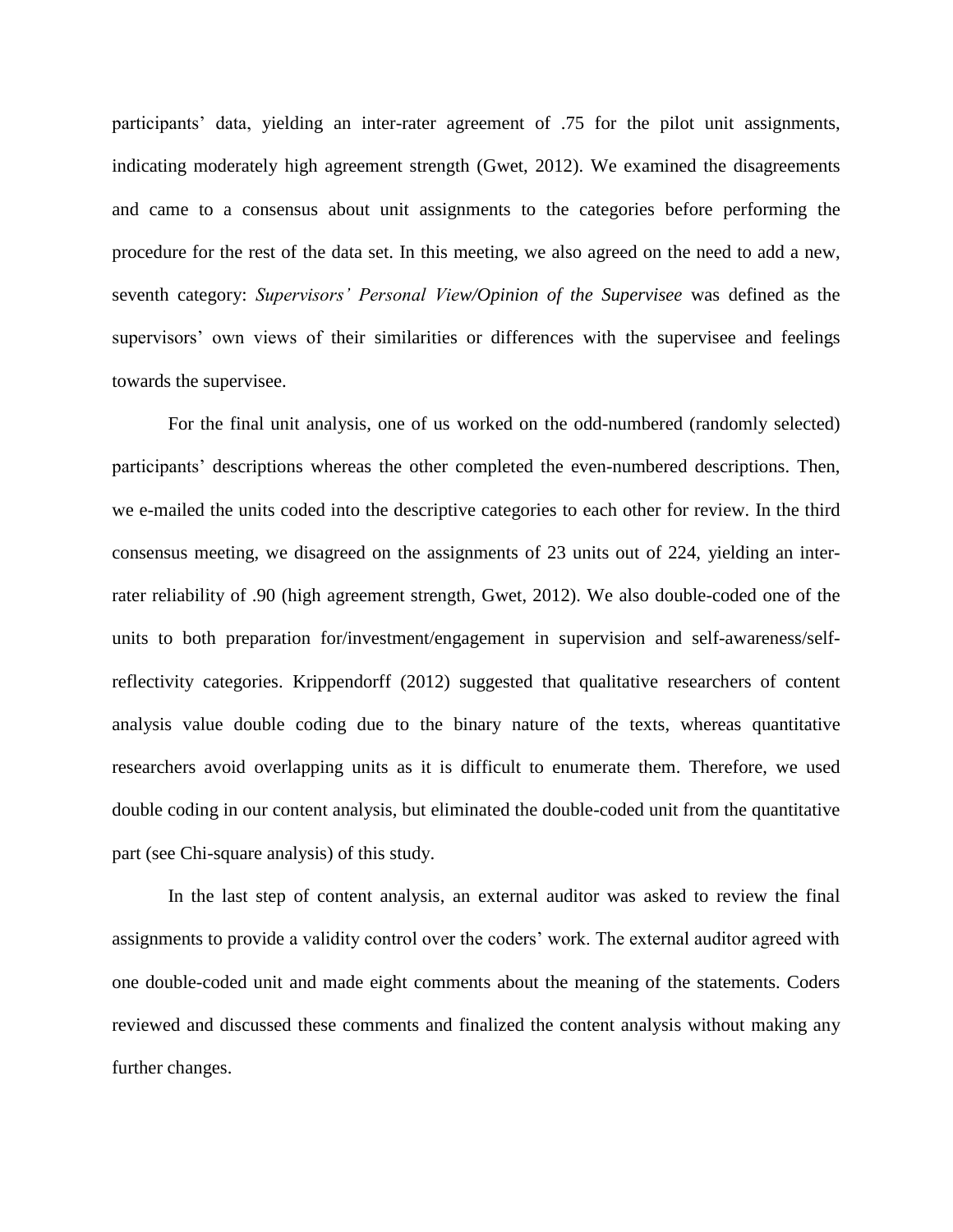participants' data, yielding an inter-rater agreement of .75 for the pilot unit assignments, indicating moderately high agreement strength (Gwet, 2012). We examined the disagreements and came to a consensus about unit assignments to the categories before performing the procedure for the rest of the data set. In this meeting, we also agreed on the need to add a new, seventh category: *Supervisors' Personal View/Opinion of the Supervisee* was defined as the supervisors' own views of their similarities or differences with the supervisee and feelings towards the supervisee.

For the final unit analysis, one of us worked on the odd-numbered (randomly selected) participants' descriptions whereas the other completed the even-numbered descriptions. Then, we e-mailed the units coded into the descriptive categories to each other for review. In the third consensus meeting, we disagreed on the assignments of 23 units out of 224, yielding an interrater reliability of .90 (high agreement strength, Gwet, 2012). We also double-coded one of the units to both preparation for/investment/engagement in supervision and self-awareness/selfreflectivity categories. Krippendorff (2012) suggested that qualitative researchers of content analysis value double coding due to the binary nature of the texts, whereas quantitative researchers avoid overlapping units as it is difficult to enumerate them. Therefore, we used double coding in our content analysis, but eliminated the double-coded unit from the quantitative part (see Chi-square analysis) of this study.

In the last step of content analysis, an external auditor was asked to review the final assignments to provide a validity control over the coders' work. The external auditor agreed with one double-coded unit and made eight comments about the meaning of the statements. Coders reviewed and discussed these comments and finalized the content analysis without making any further changes.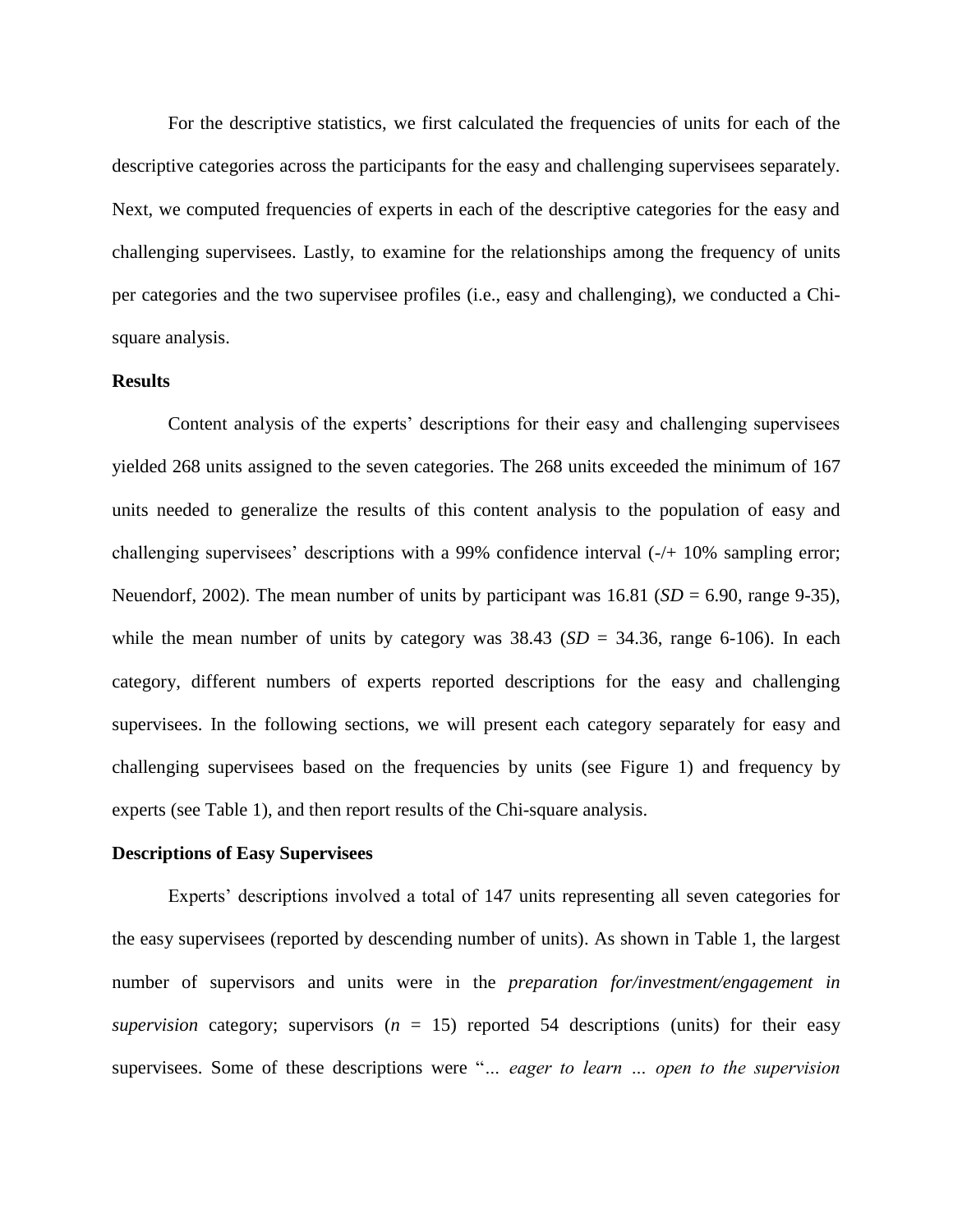For the descriptive statistics, we first calculated the frequencies of units for each of the descriptive categories across the participants for the easy and challenging supervisees separately. Next, we computed frequencies of experts in each of the descriptive categories for the easy and challenging supervisees. Lastly, to examine for the relationships among the frequency of units per categories and the two supervisee profiles (i.e., easy and challenging), we conducted a Chisquare analysis.

# **Results**

Content analysis of the experts' descriptions for their easy and challenging supervisees yielded 268 units assigned to the seven categories. The 268 units exceeded the minimum of 167 units needed to generalize the results of this content analysis to the population of easy and challenging supervisees' descriptions with a 99% confidence interval (-/+ 10% sampling error; Neuendorf, 2002). The mean number of units by participant was 16.81 (*SD* = 6.90, range 9-35), while the mean number of units by category was  $38.43$  (*SD* =  $34.36$ , range 6-106). In each category, different numbers of experts reported descriptions for the easy and challenging supervisees. In the following sections, we will present each category separately for easy and challenging supervisees based on the frequencies by units (see Figure 1) and frequency by experts (see Table 1), and then report results of the Chi-square analysis.

#### **Descriptions of Easy Supervisees**

Experts' descriptions involved a total of 147 units representing all seven categories for the easy supervisees (reported by descending number of units). As shown in Table 1, the largest number of supervisors and units were in the *preparation for/investment/engagement in supervision* category; supervisors  $(n = 15)$  reported 54 descriptions (units) for their easy supervisees. Some of these descriptions were "*… eager to learn … open to the supervision*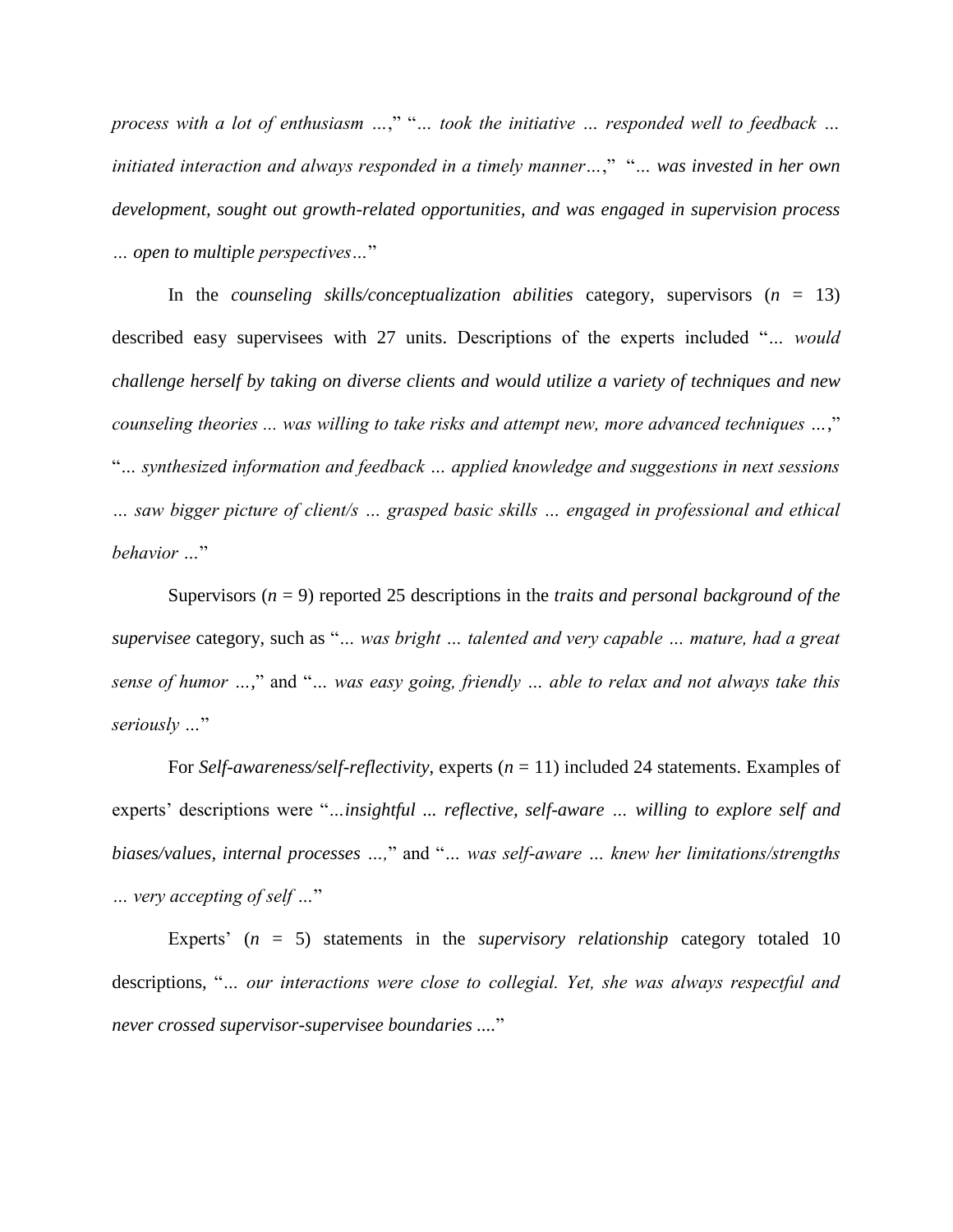*process with a lot of enthusiasm …*," "*… took the initiative … responded well to feedback … initiated interaction and always responded in a timely manner…*," "*… was invested in her own development, sought out growth-related opportunities, and was engaged in supervision process … open to multiple perspectives…*"

In the *counseling skills/conceptualization abilities* category, supervisors (*n* = 13) described easy supervisees with 27 units. Descriptions of the experts included "*… would challenge herself by taking on diverse clients and would utilize a variety of techniques and new counseling theories ... was willing to take risks and attempt new, more advanced techniques …*," "*… synthesized information and feedback … applied knowledge and suggestions in next sessions … saw bigger picture of client/s … grasped basic skills … engaged in professional and ethical behavior …*"

Supervisors (*n* = 9) reported 25 descriptions in the *traits and personal background of the supervisee* category, such as "*… was bright … talented and very capable … mature, had a great sense of humor …,*" and "*… was easy going, friendly … able to relax and not always take this seriously …*"

For *Self-awareness/self-reflectivity*, experts (*n* = 11) included 24 statements. Examples of experts' descriptions were "*…insightful ... reflective, self-aware … willing to explore self and biases/values, internal processes …,*" and "*… was self-aware … knew her limitations/strengths … very accepting of self …*"

Experts' (*n* = 5) statements in the *supervisory relationship* category totaled 10 descriptions, "*… our interactions were close to collegial. Yet, she was always respectful and never crossed supervisor-supervisee boundaries ....*"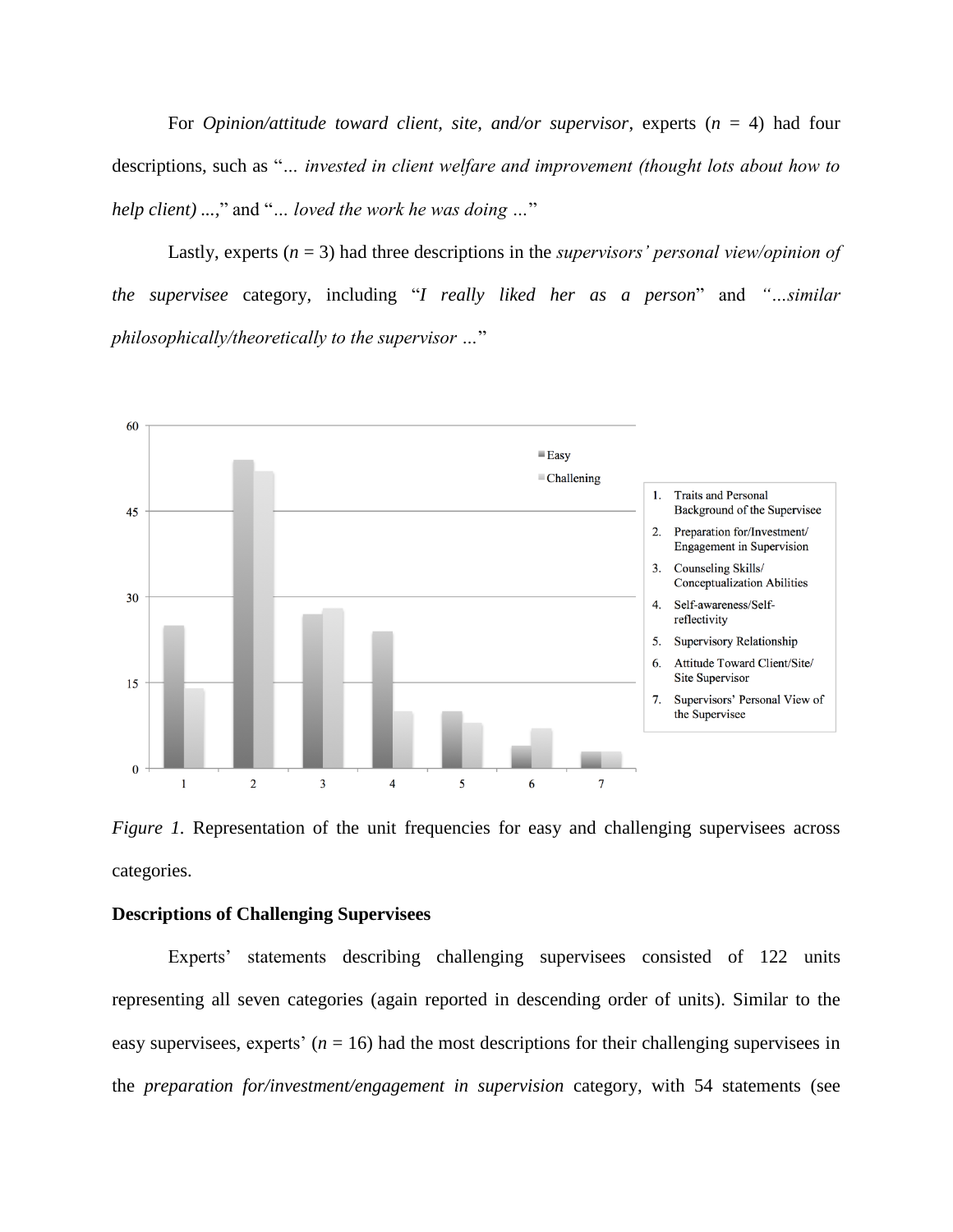For *Opinion/attitude toward client, site, and/or supervisor*, experts (*n* = 4) had four descriptions, such as "*… invested in client welfare and improvement (thought lots about how to help client) ...,*" and "*… loved the work he was doing …*"

Lastly, experts (*n* = 3) had three descriptions in the *supervisors' personal view/opinion of the supervisee* category, including "*I really liked her as a person*" and *"…similar philosophically/theoretically to the supervisor …*"



*Figure 1.* Representation of the unit frequencies for easy and challenging supervisees across categories.

# **Descriptions of Challenging Supervisees**

Experts' statements describing challenging supervisees consisted of 122 units representing all seven categories (again reported in descending order of units). Similar to the easy supervisees, experts'  $(n = 16)$  had the most descriptions for their challenging supervisees in the *preparation for/investment/engagement in supervision* category, with 54 statements (see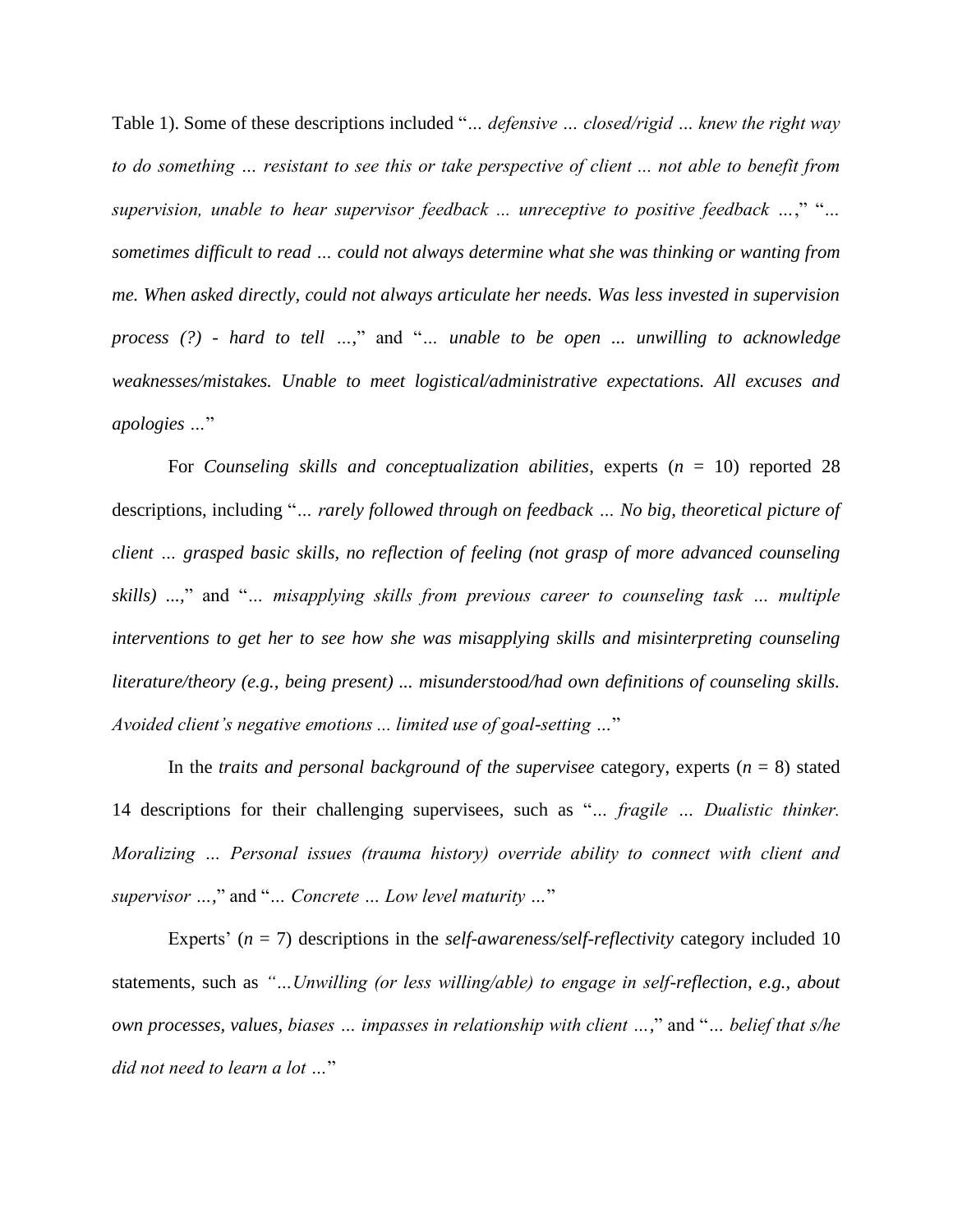Table 1). Some of these descriptions included "*… defensive … closed/rigid … knew the right way to do something … resistant to see this or take perspective of client ... not able to benefit from supervision, unable to hear supervisor feedback ... unreceptive to positive feedback …*," "*… sometimes difficult to read … could not always determine what she was thinking or wanting from me. When asked directly, could not always articulate her needs. Was less invested in supervision process (?) - hard to tell …*," and "*… unable to be open ... unwilling to acknowledge weaknesses/mistakes. Unable to meet logistical/administrative expectations. All excuses and apologies …*"

For *Counseling skills and conceptualization abilities*, experts (*n* = 10) reported 28 descriptions, including "*… rarely followed through on feedback … No big, theoretical picture of client … grasped basic skills, no reflection of feeling (not grasp of more advanced counseling skills) ...,*" and "*… misapplying skills from previous career to counseling task … multiple interventions to get her to see how she was misapplying skills and misinterpreting counseling literature/theory (e.g., being present) ... misunderstood/had own definitions of counseling skills. Avoided client's negative emotions ... limited use of goal-setting …*"

In the *traits and personal background of the supervisee* category, experts  $(n = 8)$  stated 14 descriptions for their challenging supervisees, such as "*… fragile … Dualistic thinker. Moralizing … Personal issues (trauma history) override ability to connect with client and supervisor …,*" and "*… Concrete … Low level maturity …*"

Experts' (*n* = 7) descriptions in the *self-awareness/self-reflectivity* category included 10 statements, such as *"…Unwilling (or less willing/able) to engage in self-reflection, e.g., about own processes, values, biases … impasses in relationship with client …,*" and "*… belief that s/he did not need to learn a lot …*"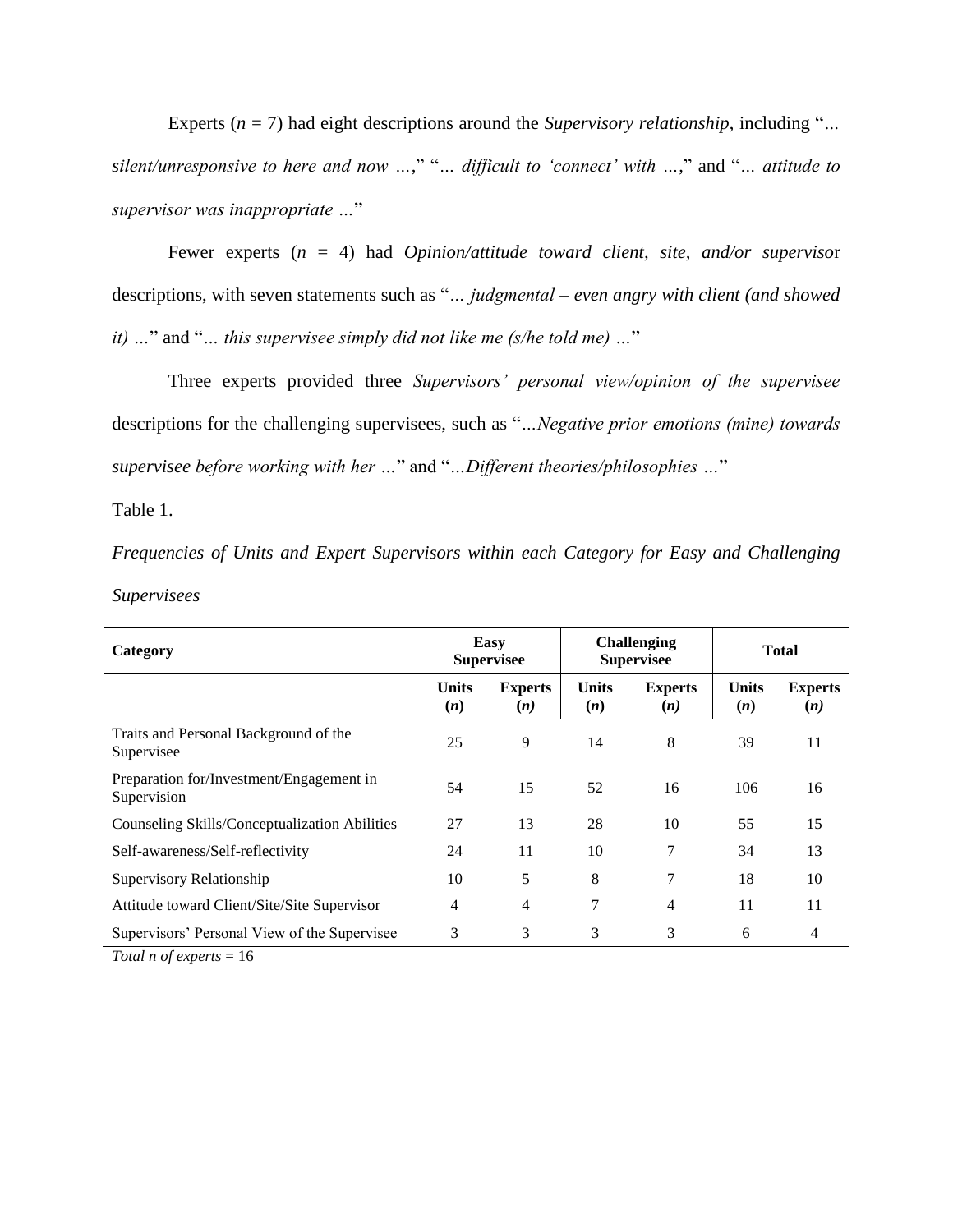Experts (*n* = 7) had eight descriptions around the *Supervisory relationship*, including "*… silent/unresponsive to here and now …*," "*… difficult to 'connect' with …*," and "*… attitude to supervisor was inappropriate …*"

Fewer experts (*n* = 4) had *Opinion/attitude toward client, site, and/or superviso*r descriptions, with seven statements such as "*… judgmental – even angry with client (and showed it) …*" and "*… this supervisee simply did not like me (s/he told me) …*"

Three experts provided three *Supervisors' personal view/opinion of the supervisee* descriptions for the challenging supervisees, such as "*…Negative prior emotions (mine) towards supervisee before working with her …*" and "*…Different theories/philosophies …*"

Table 1.

*Frequencies of Units and Expert Supervisors within each Category for Easy and Challenging Supervisees*

| Category                                                                        | Easy<br><b>Supervisee</b> |                       | <b>Challenging</b><br><b>Supervisee</b> |                       | <b>Total</b>        |                       |
|---------------------------------------------------------------------------------|---------------------------|-----------------------|-----------------------------------------|-----------------------|---------------------|-----------------------|
|                                                                                 | <b>Units</b><br>(n)       | <b>Experts</b><br>(n) | <b>Units</b><br>(n)                     | <b>Experts</b><br>(n) | <b>Units</b><br>(n) | <b>Experts</b><br>(n) |
| Traits and Personal Background of the<br>Supervisee                             | 25                        | 9                     | 14                                      | 8                     | 39                  | 11                    |
| Preparation for/Investment/Engagement in<br>Supervision                         | 54                        | 15                    | 52                                      | 16                    | 106                 | 16                    |
| Counseling Skills/Conceptualization Abilities                                   | 27                        | 13                    | 28                                      | 10                    | 55                  | 15                    |
| Self-awareness/Self-reflectivity                                                | 24                        | 11                    | 10                                      | 7                     | 34                  | 13                    |
| Supervisory Relationship                                                        | 10                        | 5                     | 8                                       | 7                     | 18                  | 10                    |
| Attitude toward Client/Site/Site Supervisor                                     | 4                         | 4                     | 7                                       | 4                     | 11                  | 11                    |
| Supervisors' Personal View of the Supervisee                                    | 3                         | 3                     | 3                                       | 3                     | 6                   | 4                     |
| $T_{\text{rel}}$ and $T_{\text{rel}}$ and $T_{\text{rel}}$ and $T_{\text{rel}}$ |                           |                       |                                         |                       |                     |                       |

*Total n of experts* = 16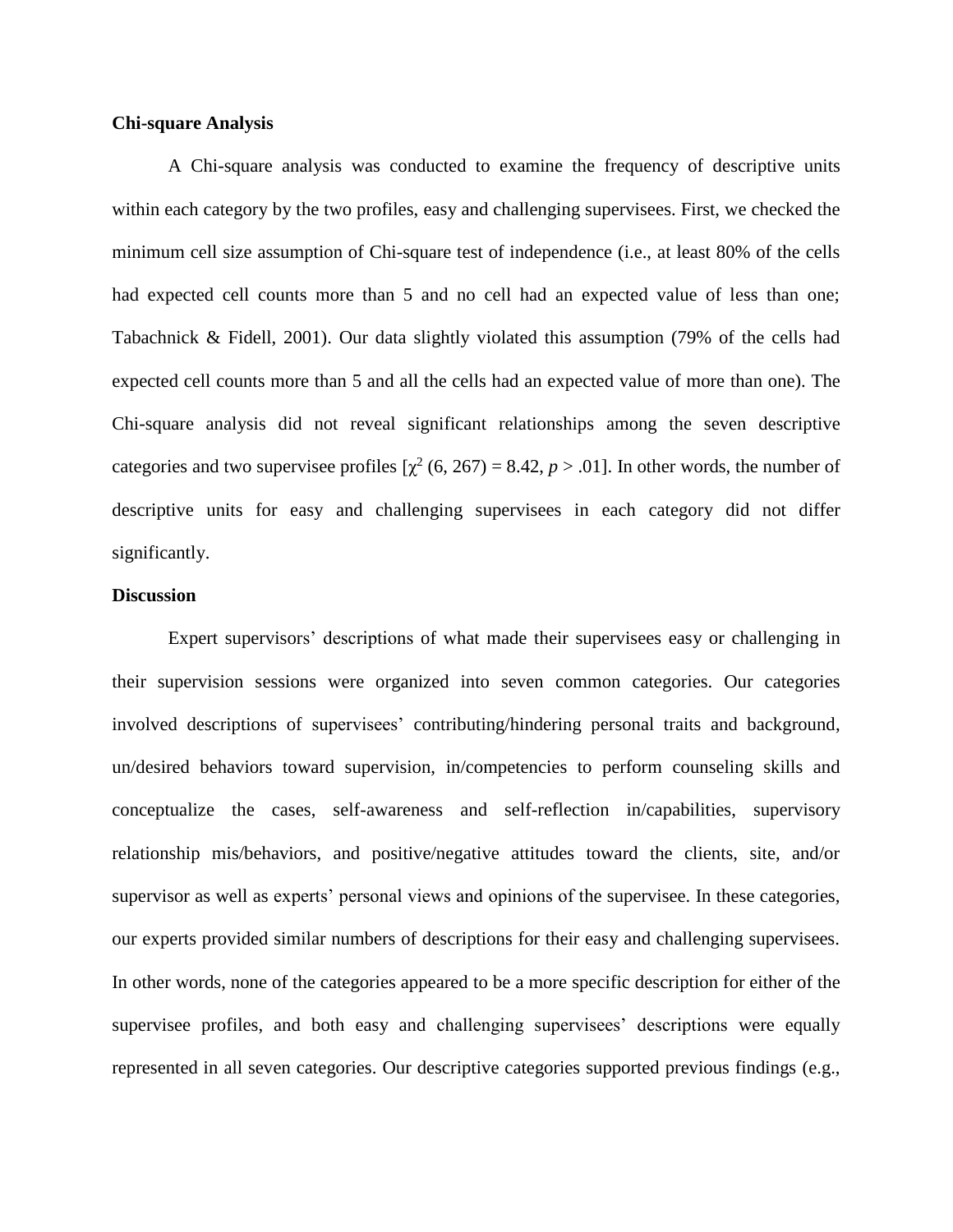### **Chi-square Analysis**

A Chi-square analysis was conducted to examine the frequency of descriptive units within each category by the two profiles, easy and challenging supervisees. First, we checked the minimum cell size assumption of Chi-square test of independence (i.e., at least 80% of the cells had expected cell counts more than 5 and no cell had an expected value of less than one; Tabachnick & Fidell, 2001). Our data slightly violated this assumption (79% of the cells had expected cell counts more than 5 and all the cells had an expected value of more than one). The Chi-square analysis did not reveal significant relationships among the seven descriptive categories and two supervisee profiles  $[\chi^2(6, 267) = 8.42, p > .01]$ . In other words, the number of descriptive units for easy and challenging supervisees in each category did not differ significantly.

#### **Discussion**

Expert supervisors' descriptions of what made their supervisees easy or challenging in their supervision sessions were organized into seven common categories. Our categories involved descriptions of supervisees' contributing/hindering personal traits and background, un/desired behaviors toward supervision, in/competencies to perform counseling skills and conceptualize the cases, self-awareness and self-reflection in/capabilities, supervisory relationship mis/behaviors, and positive/negative attitudes toward the clients, site, and/or supervisor as well as experts' personal views and opinions of the supervisee. In these categories, our experts provided similar numbers of descriptions for their easy and challenging supervisees. In other words, none of the categories appeared to be a more specific description for either of the supervisee profiles, and both easy and challenging supervisees' descriptions were equally represented in all seven categories. Our descriptive categories supported previous findings (e.g.,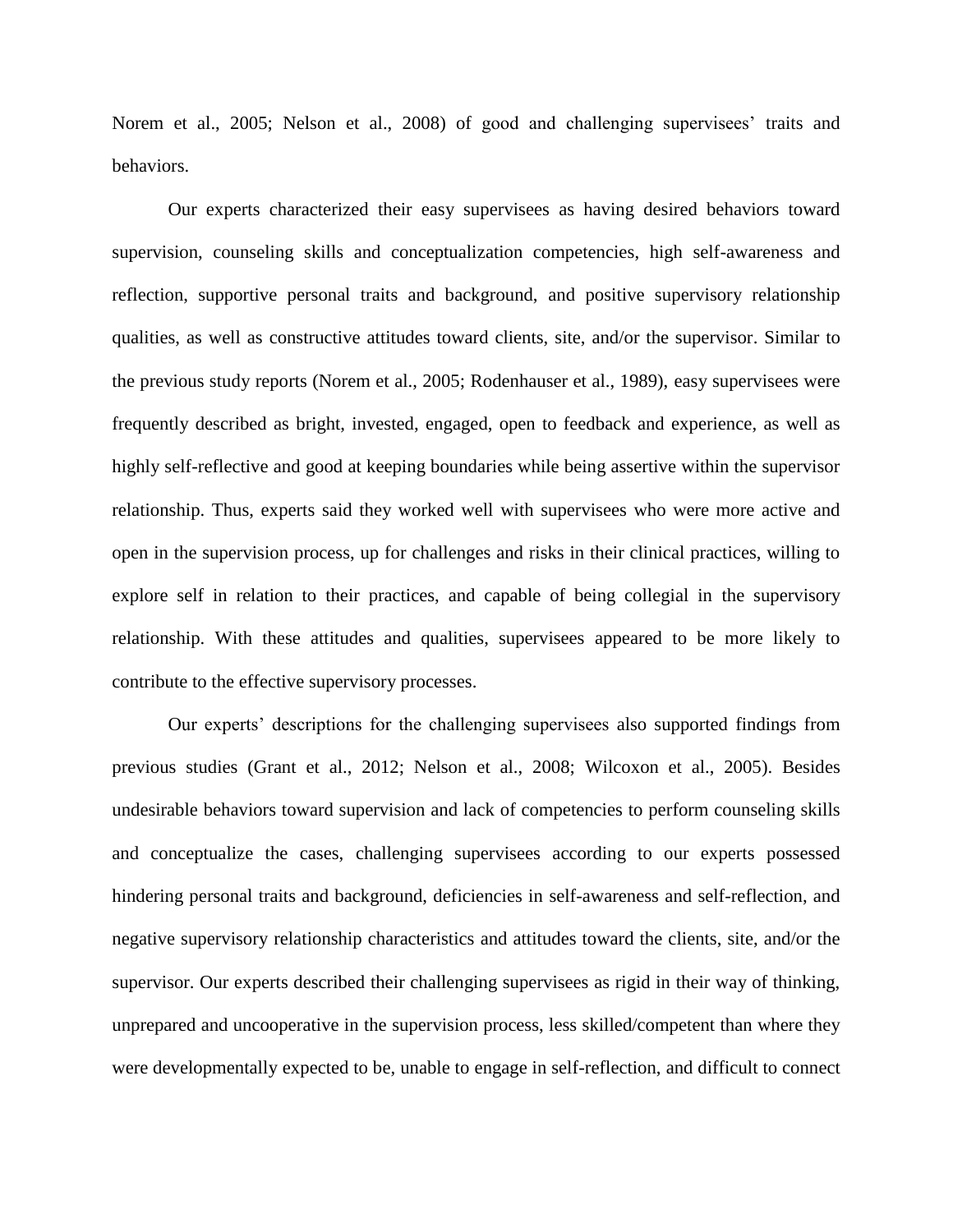Norem et al., 2005; Nelson et al., 2008) of good and challenging supervisees' traits and behaviors.

Our experts characterized their easy supervisees as having desired behaviors toward supervision, counseling skills and conceptualization competencies, high self-awareness and reflection, supportive personal traits and background, and positive supervisory relationship qualities, as well as constructive attitudes toward clients, site, and/or the supervisor. Similar to the previous study reports (Norem et al., 2005; Rodenhauser et al., 1989), easy supervisees were frequently described as bright, invested, engaged, open to feedback and experience, as well as highly self-reflective and good at keeping boundaries while being assertive within the supervisor relationship. Thus, experts said they worked well with supervisees who were more active and open in the supervision process, up for challenges and risks in their clinical practices, willing to explore self in relation to their practices, and capable of being collegial in the supervisory relationship. With these attitudes and qualities, supervisees appeared to be more likely to contribute to the effective supervisory processes.

Our experts' descriptions for the challenging supervisees also supported findings from previous studies (Grant et al., 2012; Nelson et al., 2008; Wilcoxon et al., 2005). Besides undesirable behaviors toward supervision and lack of competencies to perform counseling skills and conceptualize the cases, challenging supervisees according to our experts possessed hindering personal traits and background, deficiencies in self-awareness and self-reflection, and negative supervisory relationship characteristics and attitudes toward the clients, site, and/or the supervisor. Our experts described their challenging supervisees as rigid in their way of thinking, unprepared and uncooperative in the supervision process, less skilled/competent than where they were developmentally expected to be, unable to engage in self-reflection, and difficult to connect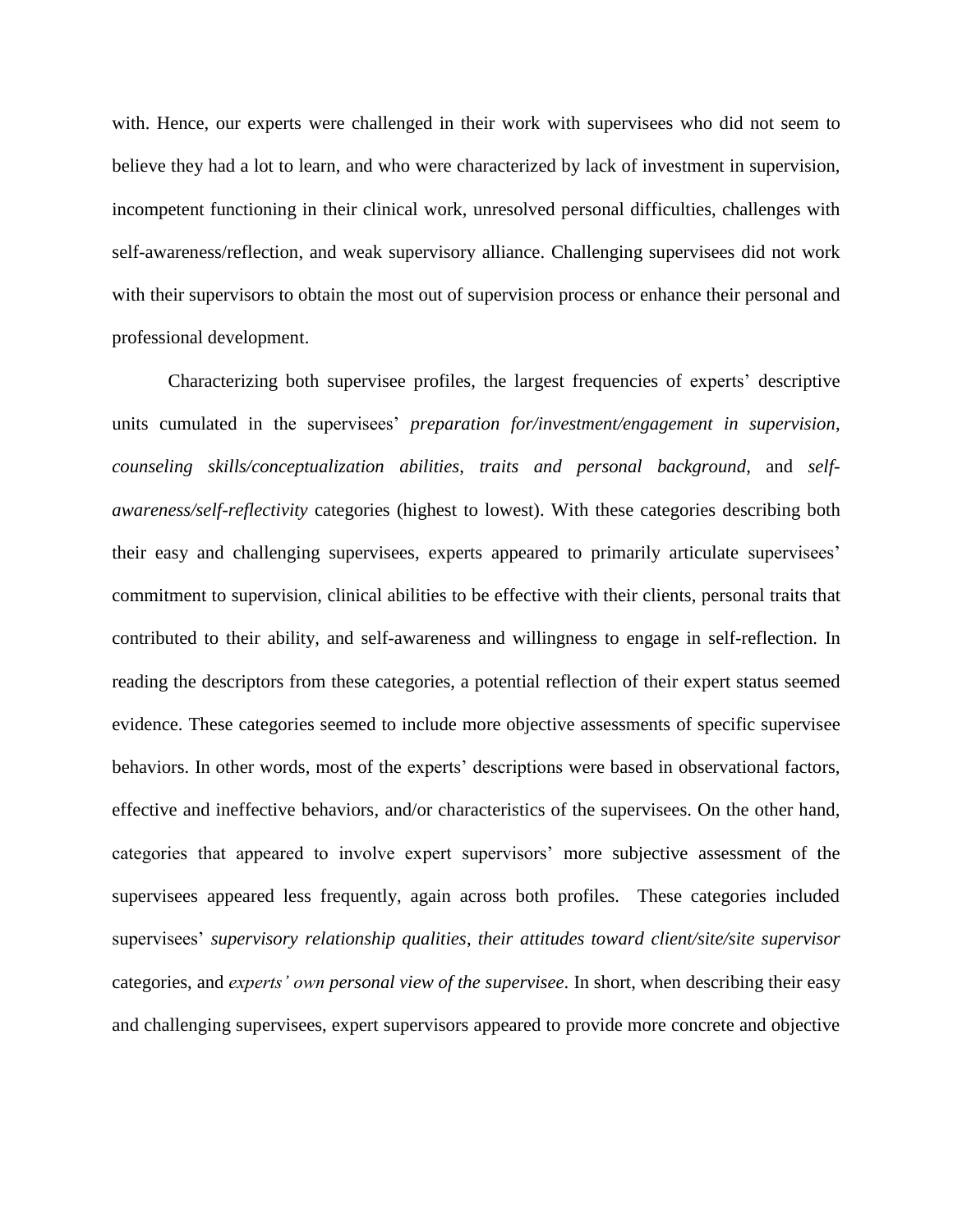with. Hence, our experts were challenged in their work with supervisees who did not seem to believe they had a lot to learn, and who were characterized by lack of investment in supervision, incompetent functioning in their clinical work, unresolved personal difficulties, challenges with self-awareness/reflection, and weak supervisory alliance. Challenging supervisees did not work with their supervisors to obtain the most out of supervision process or enhance their personal and professional development.

Characterizing both supervisee profiles, the largest frequencies of experts' descriptive units cumulated in the supervisees' *preparation for/investment/engagement in supervision*, *counseling skills/conceptualization abilities*, *traits and personal background*, and *selfawareness/self-reflectivity* categories (highest to lowest). With these categories describing both their easy and challenging supervisees, experts appeared to primarily articulate supervisees' commitment to supervision, clinical abilities to be effective with their clients, personal traits that contributed to their ability, and self-awareness and willingness to engage in self-reflection. In reading the descriptors from these categories, a potential reflection of their expert status seemed evidence. These categories seemed to include more objective assessments of specific supervisee behaviors. In other words, most of the experts' descriptions were based in observational factors, effective and ineffective behaviors, and/or characteristics of the supervisees. On the other hand, categories that appeared to involve expert supervisors' more subjective assessment of the supervisees appeared less frequently, again across both profiles. These categories included supervisees' *supervisory relationship qualities*, *their attitudes toward client/site/site supervisor* categories, and *experts' own personal view of the supervisee*. In short, when describing their easy and challenging supervisees, expert supervisors appeared to provide more concrete and objective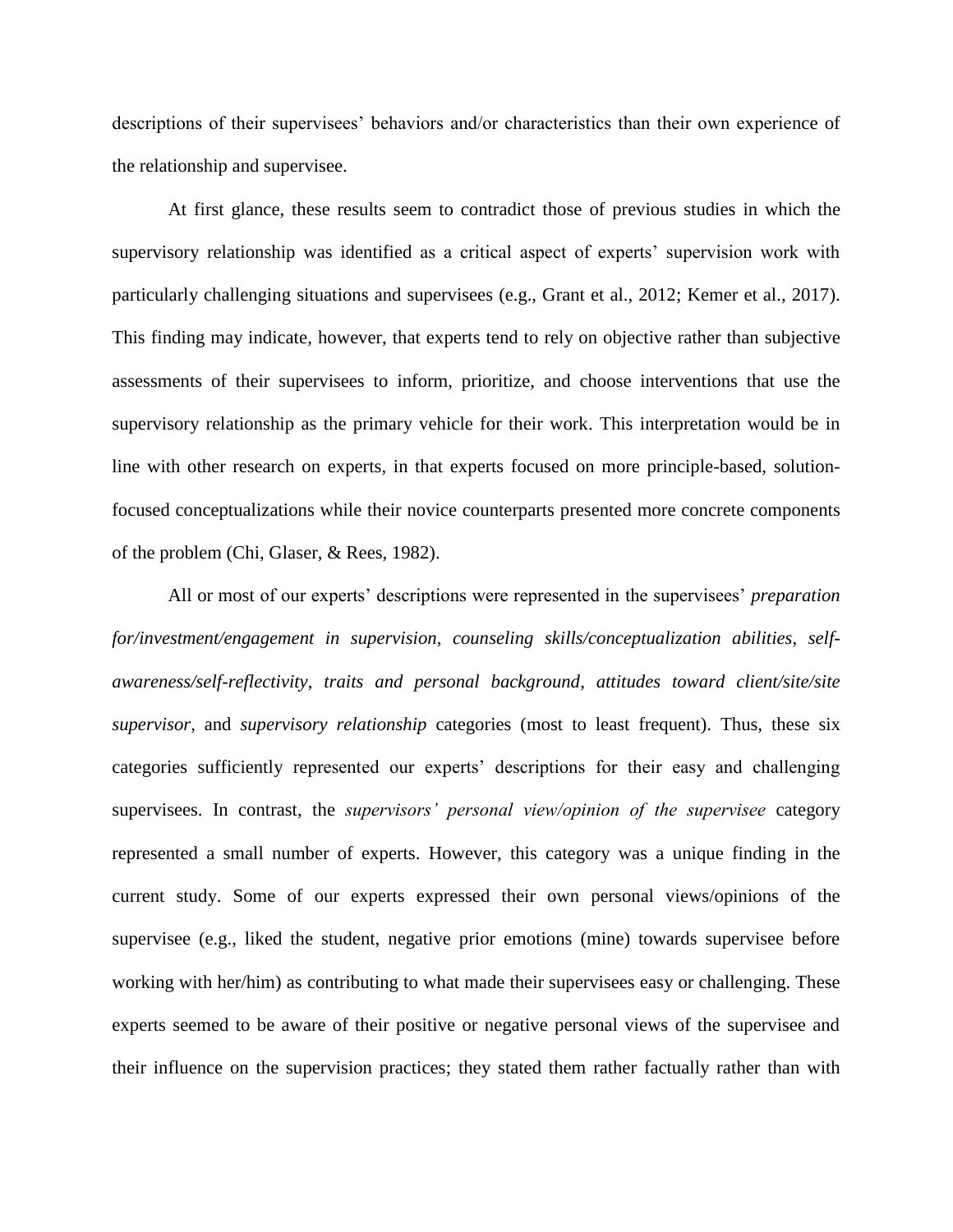descriptions of their supervisees' behaviors and/or characteristics than their own experience of the relationship and supervisee.

At first glance, these results seem to contradict those of previous studies in which the supervisory relationship was identified as a critical aspect of experts' supervision work with particularly challenging situations and supervisees (e.g., Grant et al., 2012; Kemer et al., 2017). This finding may indicate, however, that experts tend to rely on objective rather than subjective assessments of their supervisees to inform, prioritize, and choose interventions that use the supervisory relationship as the primary vehicle for their work. This interpretation would be in line with other research on experts, in that experts focused on more principle-based, solutionfocused conceptualizations while their novice counterparts presented more concrete components of the problem (Chi, Glaser, & Rees, 1982).

All or most of our experts' descriptions were represented in the supervisees' *preparation for/investment/engagement in supervision*, *counseling skills/conceptualization abilities*, *selfawareness/self-reflectivity*, *traits and personal background*, *attitudes toward client/site/site supervisor*, and *supervisory relationship* categories (most to least frequent). Thus, these six categories sufficiently represented our experts' descriptions for their easy and challenging supervisees. In contrast, the *supervisors' personal view/opinion of the supervisee* category represented a small number of experts. However, this category was a unique finding in the current study. Some of our experts expressed their own personal views/opinions of the supervisee (e.g., liked the student, negative prior emotions (mine) towards supervisee before working with her/him) as contributing to what made their supervisees easy or challenging. These experts seemed to be aware of their positive or negative personal views of the supervisee and their influence on the supervision practices; they stated them rather factually rather than with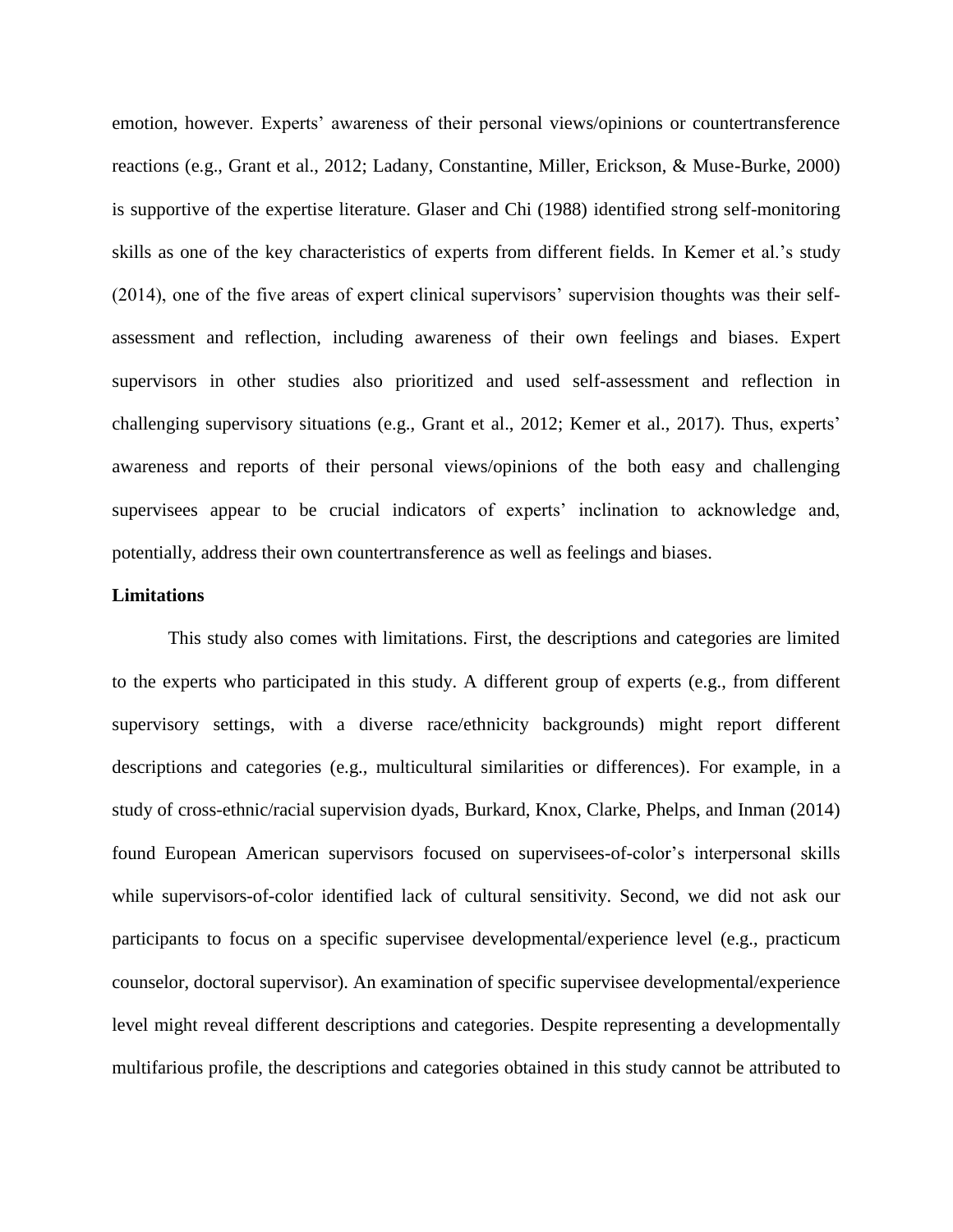emotion, however. Experts' awareness of their personal views/opinions or countertransference reactions (e.g., Grant et al., 2012; Ladany, Constantine, Miller, Erickson, & Muse-Burke, 2000) is supportive of the expertise literature. Glaser and Chi (1988) identified strong self-monitoring skills as one of the key characteristics of experts from different fields. In Kemer et al.'s study (2014), one of the five areas of expert clinical supervisors' supervision thoughts was their selfassessment and reflection, including awareness of their own feelings and biases. Expert supervisors in other studies also prioritized and used self-assessment and reflection in challenging supervisory situations (e.g., Grant et al., 2012; Kemer et al., 2017). Thus, experts' awareness and reports of their personal views/opinions of the both easy and challenging supervisees appear to be crucial indicators of experts' inclination to acknowledge and, potentially, address their own countertransference as well as feelings and biases.

#### **Limitations**

This study also comes with limitations. First, the descriptions and categories are limited to the experts who participated in this study. A different group of experts (e.g., from different supervisory settings, with a diverse race/ethnicity backgrounds) might report different descriptions and categories (e.g., multicultural similarities or differences). For example, in a study of cross-ethnic/racial supervision dyads, Burkard, Knox, Clarke, Phelps, and Inman (2014) found European American supervisors focused on supervisees-of-color's interpersonal skills while supervisors-of-color identified lack of cultural sensitivity. Second, we did not ask our participants to focus on a specific supervisee developmental/experience level (e.g., practicum counselor, doctoral supervisor). An examination of specific supervisee developmental/experience level might reveal different descriptions and categories. Despite representing a developmentally multifarious profile, the descriptions and categories obtained in this study cannot be attributed to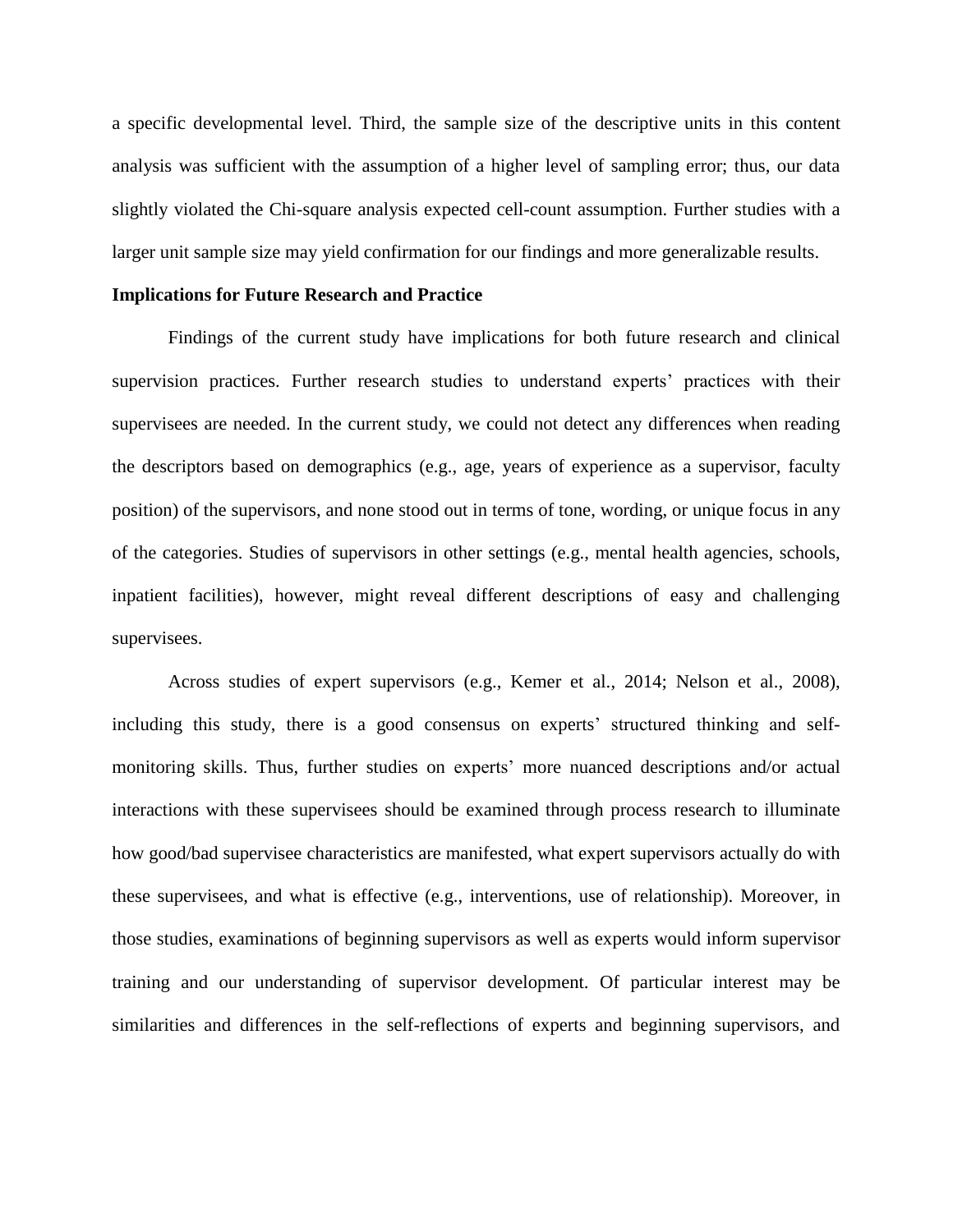a specific developmental level. Third, the sample size of the descriptive units in this content analysis was sufficient with the assumption of a higher level of sampling error; thus, our data slightly violated the Chi-square analysis expected cell-count assumption. Further studies with a larger unit sample size may yield confirmation for our findings and more generalizable results.

#### **Implications for Future Research and Practice**

Findings of the current study have implications for both future research and clinical supervision practices. Further research studies to understand experts' practices with their supervisees are needed. In the current study, we could not detect any differences when reading the descriptors based on demographics (e.g., age, years of experience as a supervisor, faculty position) of the supervisors, and none stood out in terms of tone, wording, or unique focus in any of the categories. Studies of supervisors in other settings (e.g., mental health agencies, schools, inpatient facilities), however, might reveal different descriptions of easy and challenging supervisees.

Across studies of expert supervisors (e.g., Kemer et al., 2014; Nelson et al., 2008), including this study, there is a good consensus on experts' structured thinking and selfmonitoring skills. Thus, further studies on experts' more nuanced descriptions and/or actual interactions with these supervisees should be examined through process research to illuminate how good/bad supervisee characteristics are manifested, what expert supervisors actually do with these supervisees, and what is effective (e.g., interventions, use of relationship). Moreover, in those studies, examinations of beginning supervisors as well as experts would inform supervisor training and our understanding of supervisor development. Of particular interest may be similarities and differences in the self-reflections of experts and beginning supervisors, and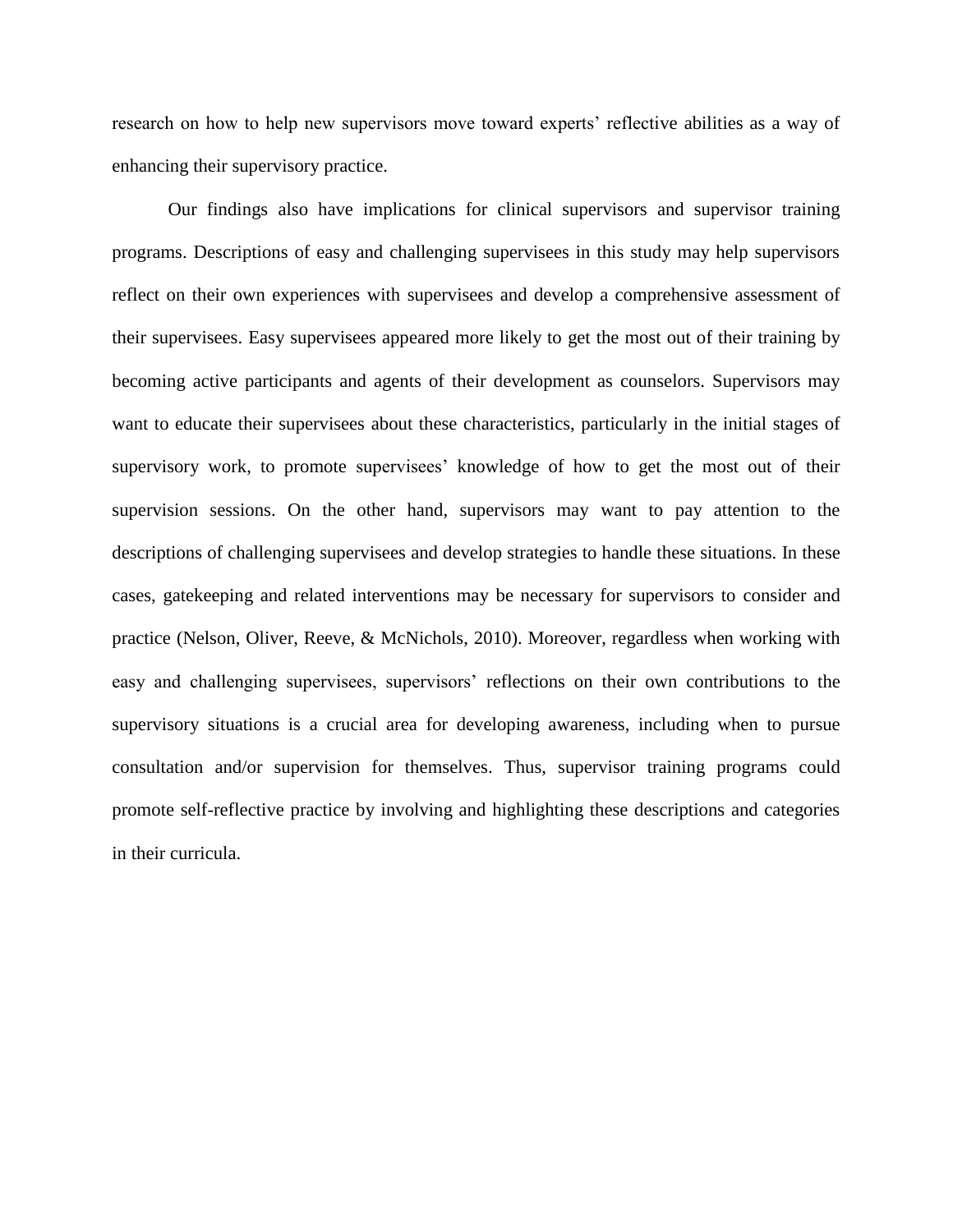research on how to help new supervisors move toward experts' reflective abilities as a way of enhancing their supervisory practice.

Our findings also have implications for clinical supervisors and supervisor training programs. Descriptions of easy and challenging supervisees in this study may help supervisors reflect on their own experiences with supervisees and develop a comprehensive assessment of their supervisees. Easy supervisees appeared more likely to get the most out of their training by becoming active participants and agents of their development as counselors. Supervisors may want to educate their supervisees about these characteristics, particularly in the initial stages of supervisory work, to promote supervisees' knowledge of how to get the most out of their supervision sessions. On the other hand, supervisors may want to pay attention to the descriptions of challenging supervisees and develop strategies to handle these situations. In these cases, gatekeeping and related interventions may be necessary for supervisors to consider and practice (Nelson, Oliver, Reeve, & McNichols, 2010). Moreover, regardless when working with easy and challenging supervisees, supervisors' reflections on their own contributions to the supervisory situations is a crucial area for developing awareness, including when to pursue consultation and/or supervision for themselves. Thus, supervisor training programs could promote self-reflective practice by involving and highlighting these descriptions and categories in their curricula.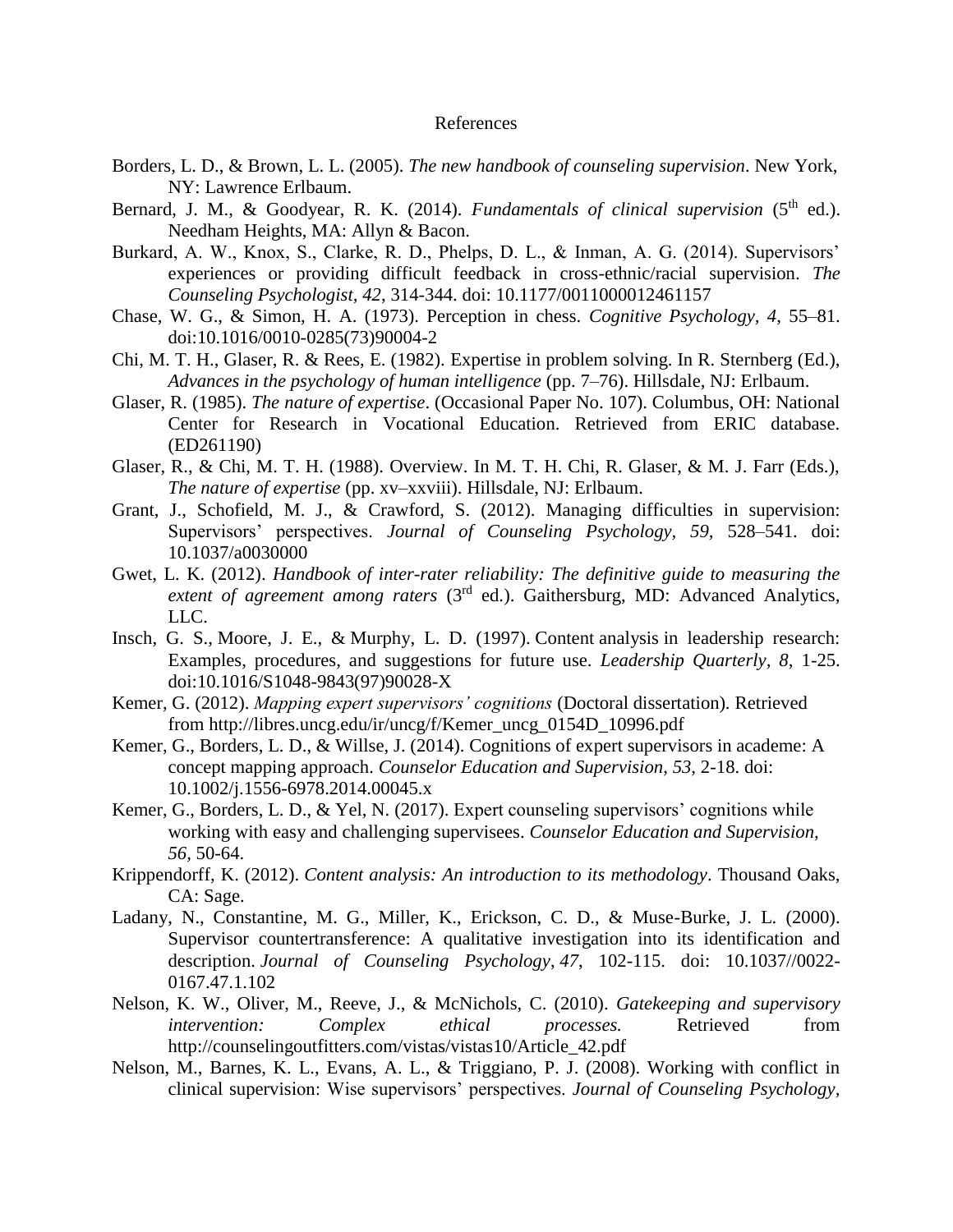#### References

- Borders, L. D., & Brown, L. L. (2005). *The new handbook of counseling supervision*. New York, NY: Lawrence Erlbaum.
- Bernard, J. M., & Goodyear, R. K. (2014). *Fundamentals of clinical supervision* (5<sup>th</sup> ed.). Needham Heights, MA: Allyn & Bacon.
- Burkard, A. W., Knox, S., Clarke, R. D., Phelps, D. L., & Inman, A. G. (2014). Supervisors' experiences or providing difficult feedback in cross-ethnic/racial supervision. *The Counseling Psychologist, 42*, 314-344. doi: 10.1177/0011000012461157
- Chase, W. G., & Simon, H. A. (1973). Perception in chess. *Cognitive Psychology, 4*, 55–81. doi:10.1016/0010-0285(73)90004-2
- Chi, M. T. H., Glaser, R. & Rees, E. (1982). Expertise in problem solving. In R. Sternberg (Ed.), *Advances in the psychology of human intelligence* (pp. 7–76). Hillsdale, NJ: Erlbaum.
- Glaser, R. (1985). *The nature of expertise*. (Occasional Paper No. 107). Columbus, OH: National Center for Research in Vocational Education. Retrieved from ERIC database. (ED261190)
- Glaser, R., & Chi, M. T. H. (1988). Overview. In M. T. H. Chi, R. Glaser, & M. J. Farr (Eds.), *The nature of expertise* (pp. xv–xxviii). Hillsdale, NJ: Erlbaum.
- Grant, J., Schofield, M. J., & Crawford, S. (2012). Managing difficulties in supervision: Supervisors' perspectives. *Journal of Counseling Psychology, 59,* 528–541. doi: 10.1037/a0030000
- Gwet, L. K. (2012). *Handbook of inter-rater reliability: The definitive guide to measuring the*  extent of agreement among raters (3<sup>rd</sup> ed.). Gaithersburg, MD: Advanced Analytics, LLC.
- Insch, G. S., Moore, J. E., & Murphy, L. D. (1997). Content analysis in leadership research: Examples, procedures, and suggestions for future use. *Leadership Quarterly, 8*, 1-25. doi:10.1016/S1048-9843(97)90028-X
- Kemer, G. (2012). *Mapping expert supervisors' cognitions* (Doctoral dissertation)*.* Retrieved from http://libres.uncg.edu/ir/uncg/f/Kemer\_uncg\_0154D\_10996.pdf
- Kemer, G., Borders, L. D., & Willse, J. (2014). Cognitions of expert supervisors in academe: A concept mapping approach. *Counselor Education and Supervision*, *53*, 2-18. doi: 10.1002/j.1556-6978.2014.00045.x
- Kemer, G., Borders, L. D., & Yel, N. (2017). Expert counseling supervisors' cognitions while working with easy and challenging supervisees. *Counselor Education and Supervision, 56,* 50-64.
- Krippendorff, K. (2012). *Content analysis: An introduction to its methodology*. Thousand Oaks, CA: Sage.
- Ladany, N., Constantine, M. G., Miller, K., Erickson, C. D., & Muse-Burke, J. L. (2000). Supervisor countertransference: A qualitative investigation into its identification and description. *Journal of Counseling Psychology*, *47*, 102-115. doi: 10.1037//0022- 0167.47.1.102
- Nelson, K. W., Oliver, M., Reeve, J., & McNichols, C. (2010). *Gatekeeping and supervisory intervention: Complex ethical processes.* Retrieved from http://counselingoutfitters.com/vistas/vistas10/Article 42.pdf
- Nelson, M., Barnes, K. L., Evans, A. L., & Triggiano, P. J. (2008). Working with conflict in clinical supervision: Wise supervisors' perspectives. *Journal of Counseling Psychology,*